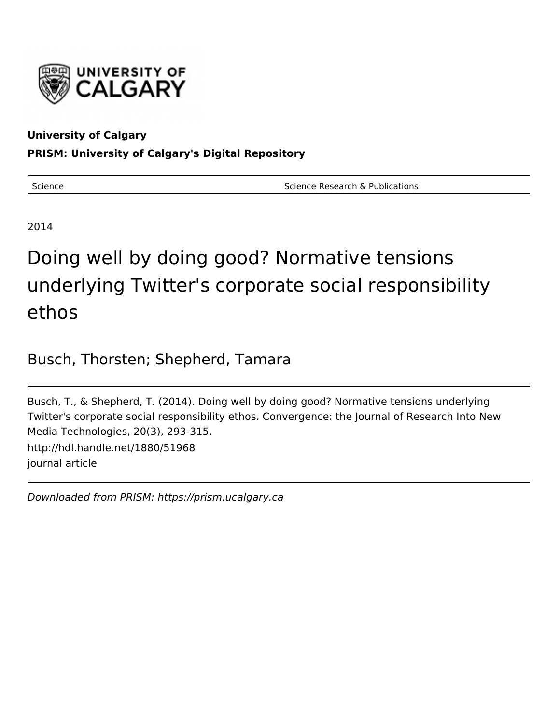

## **University of Calgary**

### **PRISM: University of Calgary's Digital Repository**

Science **Science Research & Publications** Science Research & Publications

2014

# Doing well by doing good? Normative tensions underlying Twitter's corporate social responsibility ethos

# Busch, Thorsten; Shepherd, Tamara

Busch, T., & Shepherd, T. (2014). Doing well by doing good? Normative tensions underlying Twitter's corporate social responsibility ethos. Convergence: the Journal of Research Into New Media Technologies, 20(3), 293-315. http://hdl.handle.net/1880/51968 journal article

Downloaded from PRISM: https://prism.ucalgary.ca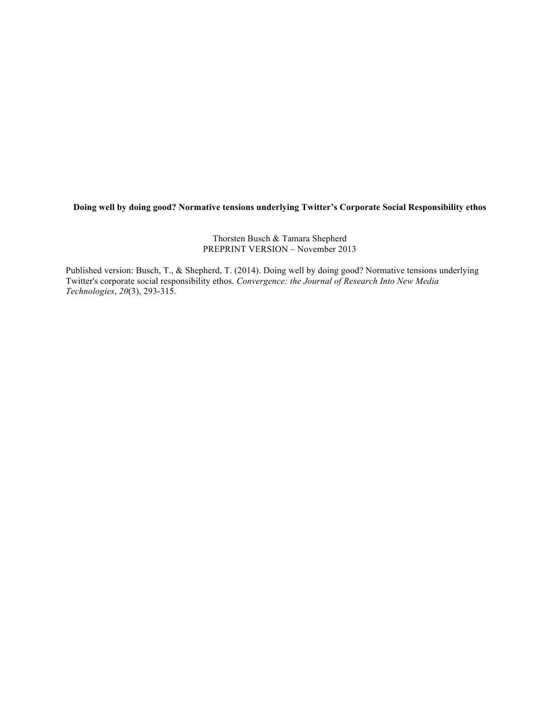#### **Doing well by doing good? Normative tensions underlying Twitter's Corporate Social Responsibility ethos**

Thorsten Busch & Tamara Shepherd PREPRINT VERSION – November 2013

Published version: Busch, T., & Shepherd, T. (2014). Doing well by doing good? Normative tensions underlying Twitter's corporate social responsibility ethos. *Convergence: the Journal of Research Into New Media Technologies*, *20*(3), 293-315.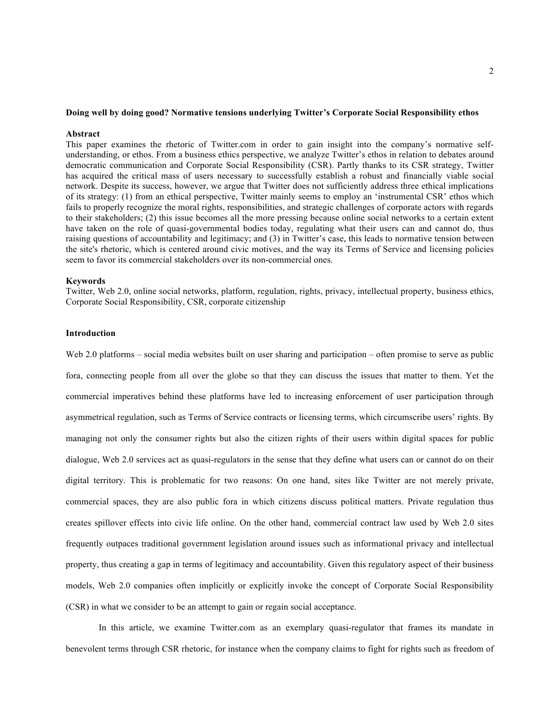#### **Doing well by doing good? Normative tensions underlying Twitter's Corporate Social Responsibility ethos**

#### **Abstract**

This paper examines the rhetoric of Twitter.com in order to gain insight into the company's normative selfunderstanding, or ethos. From a business ethics perspective, we analyze Twitter's ethos in relation to debates around democratic communication and Corporate Social Responsibility (CSR). Partly thanks to its CSR strategy, Twitter has acquired the critical mass of users necessary to successfully establish a robust and financially viable social network. Despite its success, however, we argue that Twitter does not sufficiently address three ethical implications of its strategy: (1) from an ethical perspective, Twitter mainly seems to employ an 'instrumental CSR' ethos which fails to properly recognize the moral rights, responsibilities, and strategic challenges of corporate actors with regards to their stakeholders; (2) this issue becomes all the more pressing because online social networks to a certain extent have taken on the role of quasi-governmental bodies today, regulating what their users can and cannot do, thus raising questions of accountability and legitimacy; and (3) in Twitter's case, this leads to normative tension between the site's rhetoric, which is centered around civic motives, and the way its Terms of Service and licensing policies seem to favor its commercial stakeholders over its non-commercial ones.

#### **Keywords**

Twitter, Web 2.0, online social networks, platform, regulation, rights, privacy, intellectual property, business ethics, Corporate Social Responsibility, CSR, corporate citizenship

#### **Introduction**

Web 2.0 platforms – social media websites built on user sharing and participation – often promise to serve as public fora, connecting people from all over the globe so that they can discuss the issues that matter to them. Yet the commercial imperatives behind these platforms have led to increasing enforcement of user participation through asymmetrical regulation, such as Terms of Service contracts or licensing terms, which circumscribe users' rights. By managing not only the consumer rights but also the citizen rights of their users within digital spaces for public dialogue, Web 2.0 services act as quasi-regulators in the sense that they define what users can or cannot do on their digital territory. This is problematic for two reasons: On one hand, sites like Twitter are not merely private, commercial spaces, they are also public fora in which citizens discuss political matters. Private regulation thus creates spillover effects into civic life online. On the other hand, commercial contract law used by Web 2.0 sites frequently outpaces traditional government legislation around issues such as informational privacy and intellectual property, thus creating a gap in terms of legitimacy and accountability. Given this regulatory aspect of their business models, Web 2.0 companies often implicitly or explicitly invoke the concept of Corporate Social Responsibility (CSR) in what we consider to be an attempt to gain or regain social acceptance.

In this article, we examine Twitter.com as an exemplary quasi-regulator that frames its mandate in benevolent terms through CSR rhetoric, for instance when the company claims to fight for rights such as freedom of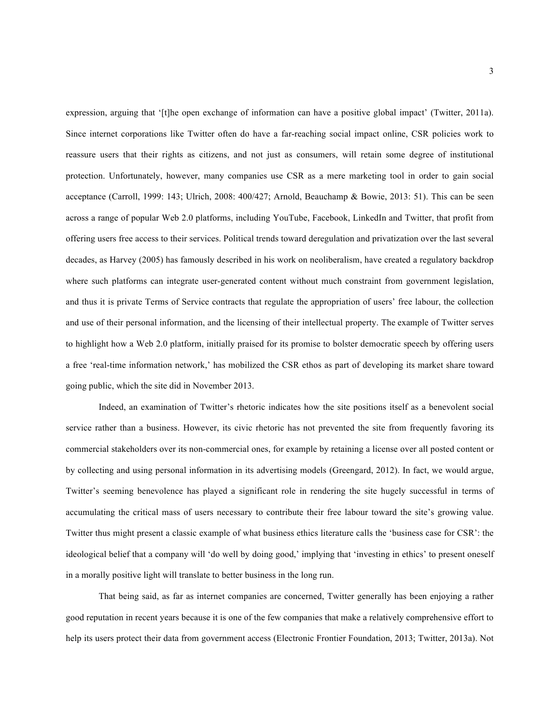expression, arguing that '[t]he open exchange of information can have a positive global impact' (Twitter, 2011a). Since internet corporations like Twitter often do have a far-reaching social impact online, CSR policies work to reassure users that their rights as citizens, and not just as consumers, will retain some degree of institutional protection. Unfortunately, however, many companies use CSR as a mere marketing tool in order to gain social acceptance (Carroll, 1999: 143; Ulrich, 2008: 400/427; Arnold, Beauchamp & Bowie, 2013: 51). This can be seen across a range of popular Web 2.0 platforms, including YouTube, Facebook, LinkedIn and Twitter, that profit from offering users free access to their services. Political trends toward deregulation and privatization over the last several decades, as Harvey (2005) has famously described in his work on neoliberalism, have created a regulatory backdrop where such platforms can integrate user-generated content without much constraint from government legislation, and thus it is private Terms of Service contracts that regulate the appropriation of users' free labour, the collection and use of their personal information, and the licensing of their intellectual property. The example of Twitter serves to highlight how a Web 2.0 platform, initially praised for its promise to bolster democratic speech by offering users a free 'real-time information network,' has mobilized the CSR ethos as part of developing its market share toward going public, which the site did in November 2013.

Indeed, an examination of Twitter's rhetoric indicates how the site positions itself as a benevolent social service rather than a business. However, its civic rhetoric has not prevented the site from frequently favoring its commercial stakeholders over its non-commercial ones, for example by retaining a license over all posted content or by collecting and using personal information in its advertising models (Greengard, 2012). In fact, we would argue, Twitter's seeming benevolence has played a significant role in rendering the site hugely successful in terms of accumulating the critical mass of users necessary to contribute their free labour toward the site's growing value. Twitter thus might present a classic example of what business ethics literature calls the 'business case for CSR': the ideological belief that a company will 'do well by doing good,' implying that 'investing in ethics' to present oneself in a morally positive light will translate to better business in the long run.

That being said, as far as internet companies are concerned, Twitter generally has been enjoying a rather good reputation in recent years because it is one of the few companies that make a relatively comprehensive effort to help its users protect their data from government access (Electronic Frontier Foundation, 2013; Twitter, 2013a). Not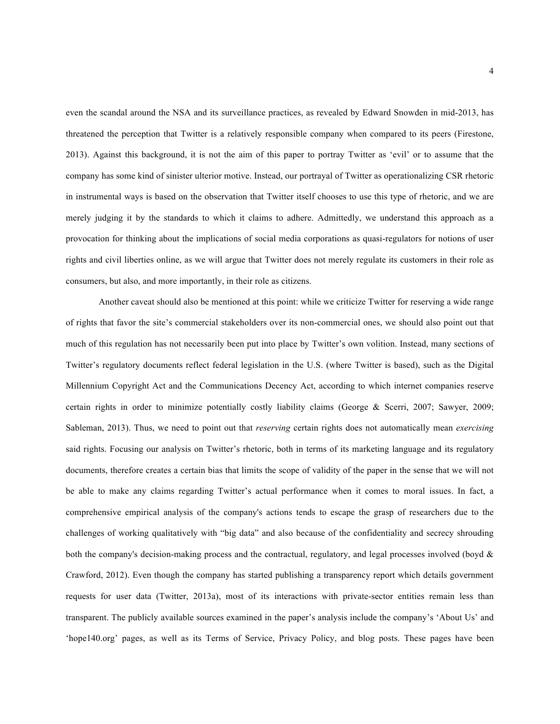even the scandal around the NSA and its surveillance practices, as revealed by Edward Snowden in mid-2013, has threatened the perception that Twitter is a relatively responsible company when compared to its peers (Firestone, 2013). Against this background, it is not the aim of this paper to portray Twitter as 'evil' or to assume that the company has some kind of sinister ulterior motive. Instead, our portrayal of Twitter as operationalizing CSR rhetoric in instrumental ways is based on the observation that Twitter itself chooses to use this type of rhetoric, and we are merely judging it by the standards to which it claims to adhere. Admittedly, we understand this approach as a provocation for thinking about the implications of social media corporations as quasi-regulators for notions of user rights and civil liberties online, as we will argue that Twitter does not merely regulate its customers in their role as consumers, but also, and more importantly, in their role as citizens.

Another caveat should also be mentioned at this point: while we criticize Twitter for reserving a wide range of rights that favor the site's commercial stakeholders over its non-commercial ones, we should also point out that much of this regulation has not necessarily been put into place by Twitter's own volition. Instead, many sections of Twitter's regulatory documents reflect federal legislation in the U.S. (where Twitter is based), such as the Digital Millennium Copyright Act and the Communications Decency Act, according to which internet companies reserve certain rights in order to minimize potentially costly liability claims (George & Scerri, 2007; Sawyer, 2009; Sableman, 2013). Thus, we need to point out that *reserving* certain rights does not automatically mean *exercising* said rights. Focusing our analysis on Twitter's rhetoric, both in terms of its marketing language and its regulatory documents, therefore creates a certain bias that limits the scope of validity of the paper in the sense that we will not be able to make any claims regarding Twitter's actual performance when it comes to moral issues. In fact, a comprehensive empirical analysis of the company's actions tends to escape the grasp of researchers due to the challenges of working qualitatively with "big data" and also because of the confidentiality and secrecy shrouding both the company's decision-making process and the contractual, regulatory, and legal processes involved (boyd & Crawford, 2012). Even though the company has started publishing a transparency report which details government requests for user data (Twitter, 2013a), most of its interactions with private-sector entities remain less than transparent. The publicly available sources examined in the paper's analysis include the company's 'About Us' and 'hope140.org' pages, as well as its Terms of Service, Privacy Policy, and blog posts. These pages have been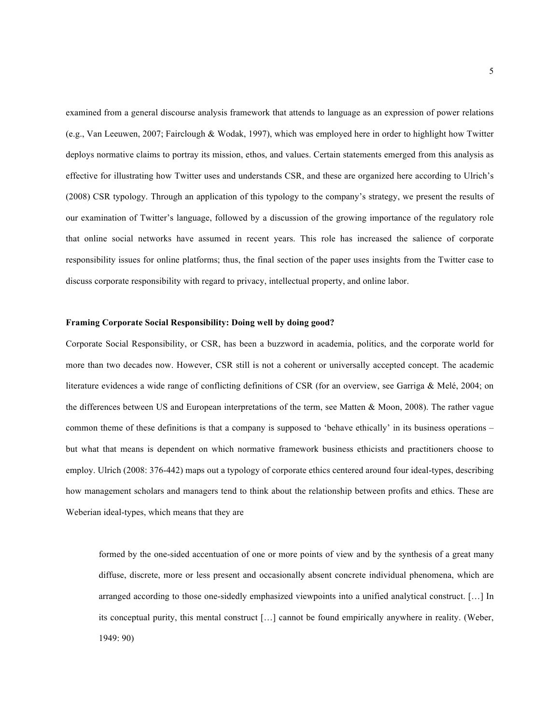examined from a general discourse analysis framework that attends to language as an expression of power relations (e.g., Van Leeuwen, 2007; Fairclough & Wodak, 1997), which was employed here in order to highlight how Twitter deploys normative claims to portray its mission, ethos, and values. Certain statements emerged from this analysis as effective for illustrating how Twitter uses and understands CSR, and these are organized here according to Ulrich's (2008) CSR typology. Through an application of this typology to the company's strategy, we present the results of our examination of Twitter's language, followed by a discussion of the growing importance of the regulatory role that online social networks have assumed in recent years. This role has increased the salience of corporate responsibility issues for online platforms; thus, the final section of the paper uses insights from the Twitter case to discuss corporate responsibility with regard to privacy, intellectual property, and online labor.

#### **Framing Corporate Social Responsibility: Doing well by doing good?**

Corporate Social Responsibility, or CSR, has been a buzzword in academia, politics, and the corporate world for more than two decades now. However, CSR still is not a coherent or universally accepted concept. The academic literature evidences a wide range of conflicting definitions of CSR (for an overview, see Garriga & Melé, 2004; on the differences between US and European interpretations of the term, see Matten & Moon, 2008). The rather vague common theme of these definitions is that a company is supposed to 'behave ethically' in its business operations – but what that means is dependent on which normative framework business ethicists and practitioners choose to employ. Ulrich (2008: 376-442) maps out a typology of corporate ethics centered around four ideal-types, describing how management scholars and managers tend to think about the relationship between profits and ethics. These are Weberian ideal-types, which means that they are

formed by the one-sided accentuation of one or more points of view and by the synthesis of a great many diffuse, discrete, more or less present and occasionally absent concrete individual phenomena, which are arranged according to those one-sidedly emphasized viewpoints into a unified analytical construct. […] In its conceptual purity, this mental construct […] cannot be found empirically anywhere in reality. (Weber, 1949: 90)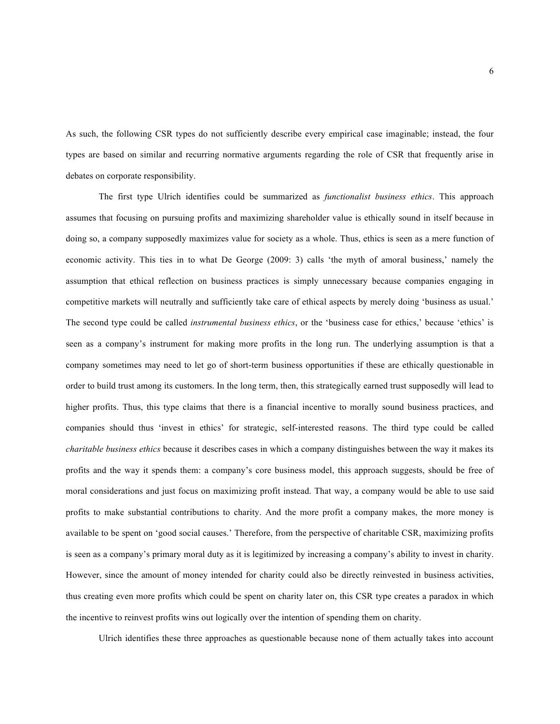As such, the following CSR types do not sufficiently describe every empirical case imaginable; instead, the four types are based on similar and recurring normative arguments regarding the role of CSR that frequently arise in debates on corporate responsibility.

The first type Ulrich identifies could be summarized as *functionalist business ethics*. This approach assumes that focusing on pursuing profits and maximizing shareholder value is ethically sound in itself because in doing so, a company supposedly maximizes value for society as a whole. Thus, ethics is seen as a mere function of economic activity. This ties in to what De George (2009: 3) calls 'the myth of amoral business,' namely the assumption that ethical reflection on business practices is simply unnecessary because companies engaging in competitive markets will neutrally and sufficiently take care of ethical aspects by merely doing 'business as usual.' The second type could be called *instrumental business ethics*, or the 'business case for ethics,' because 'ethics' is seen as a company's instrument for making more profits in the long run. The underlying assumption is that a company sometimes may need to let go of short-term business opportunities if these are ethically questionable in order to build trust among its customers. In the long term, then, this strategically earned trust supposedly will lead to higher profits. Thus, this type claims that there is a financial incentive to morally sound business practices, and companies should thus 'invest in ethics' for strategic, self-interested reasons. The third type could be called *charitable business ethics* because it describes cases in which a company distinguishes between the way it makes its profits and the way it spends them: a company's core business model, this approach suggests, should be free of moral considerations and just focus on maximizing profit instead. That way, a company would be able to use said profits to make substantial contributions to charity. And the more profit a company makes, the more money is available to be spent on 'good social causes.' Therefore, from the perspective of charitable CSR, maximizing profits is seen as a company's primary moral duty as it is legitimized by increasing a company's ability to invest in charity. However, since the amount of money intended for charity could also be directly reinvested in business activities, thus creating even more profits which could be spent on charity later on, this CSR type creates a paradox in which the incentive to reinvest profits wins out logically over the intention of spending them on charity.

Ulrich identifies these three approaches as questionable because none of them actually takes into account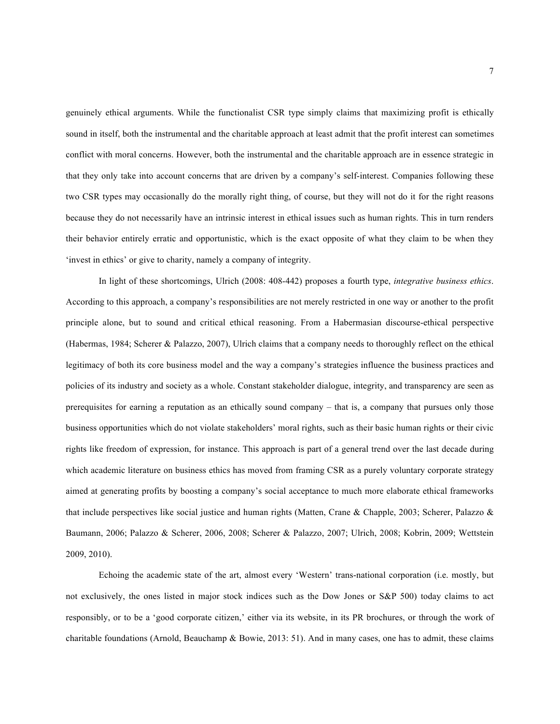genuinely ethical arguments. While the functionalist CSR type simply claims that maximizing profit is ethically sound in itself, both the instrumental and the charitable approach at least admit that the profit interest can sometimes conflict with moral concerns. However, both the instrumental and the charitable approach are in essence strategic in that they only take into account concerns that are driven by a company's self-interest. Companies following these two CSR types may occasionally do the morally right thing, of course, but they will not do it for the right reasons because they do not necessarily have an intrinsic interest in ethical issues such as human rights. This in turn renders their behavior entirely erratic and opportunistic, which is the exact opposite of what they claim to be when they 'invest in ethics' or give to charity, namely a company of integrity.

In light of these shortcomings, Ulrich (2008: 408-442) proposes a fourth type, *integrative business ethics*. According to this approach, a company's responsibilities are not merely restricted in one way or another to the profit principle alone, but to sound and critical ethical reasoning. From a Habermasian discourse-ethical perspective (Habermas, 1984; Scherer & Palazzo, 2007), Ulrich claims that a company needs to thoroughly reflect on the ethical legitimacy of both its core business model and the way a company's strategies influence the business practices and policies of its industry and society as a whole. Constant stakeholder dialogue, integrity, and transparency are seen as prerequisites for earning a reputation as an ethically sound company – that is, a company that pursues only those business opportunities which do not violate stakeholders' moral rights, such as their basic human rights or their civic rights like freedom of expression, for instance. This approach is part of a general trend over the last decade during which academic literature on business ethics has moved from framing CSR as a purely voluntary corporate strategy aimed at generating profits by boosting a company's social acceptance to much more elaborate ethical frameworks that include perspectives like social justice and human rights (Matten, Crane & Chapple, 2003; Scherer, Palazzo & Baumann, 2006; Palazzo & Scherer, 2006, 2008; Scherer & Palazzo, 2007; Ulrich, 2008; Kobrin, 2009; Wettstein 2009, 2010).

Echoing the academic state of the art, almost every 'Western' trans-national corporation (i.e. mostly, but not exclusively, the ones listed in major stock indices such as the Dow Jones or S&P 500) today claims to act responsibly, or to be a 'good corporate citizen,' either via its website, in its PR brochures, or through the work of charitable foundations (Arnold, Beauchamp & Bowie, 2013: 51). And in many cases, one has to admit, these claims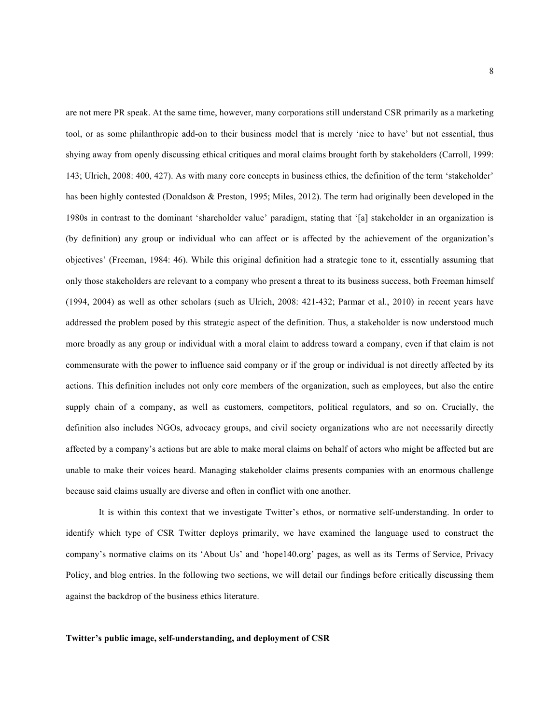are not mere PR speak. At the same time, however, many corporations still understand CSR primarily as a marketing tool, or as some philanthropic add-on to their business model that is merely 'nice to have' but not essential, thus shying away from openly discussing ethical critiques and moral claims brought forth by stakeholders (Carroll, 1999: 143; Ulrich, 2008: 400, 427). As with many core concepts in business ethics, the definition of the term 'stakeholder' has been highly contested (Donaldson & Preston, 1995; Miles, 2012). The term had originally been developed in the 1980s in contrast to the dominant 'shareholder value' paradigm, stating that '[a] stakeholder in an organization is (by definition) any group or individual who can affect or is affected by the achievement of the organization's objectives' (Freeman, 1984: 46). While this original definition had a strategic tone to it, essentially assuming that only those stakeholders are relevant to a company who present a threat to its business success, both Freeman himself (1994, 2004) as well as other scholars (such as Ulrich, 2008: 421-432; Parmar et al., 2010) in recent years have addressed the problem posed by this strategic aspect of the definition. Thus, a stakeholder is now understood much more broadly as any group or individual with a moral claim to address toward a company, even if that claim is not commensurate with the power to influence said company or if the group or individual is not directly affected by its actions. This definition includes not only core members of the organization, such as employees, but also the entire supply chain of a company, as well as customers, competitors, political regulators, and so on. Crucially, the definition also includes NGOs, advocacy groups, and civil society organizations who are not necessarily directly affected by a company's actions but are able to make moral claims on behalf of actors who might be affected but are unable to make their voices heard. Managing stakeholder claims presents companies with an enormous challenge because said claims usually are diverse and often in conflict with one another.

It is within this context that we investigate Twitter's ethos, or normative self-understanding. In order to identify which type of CSR Twitter deploys primarily, we have examined the language used to construct the company's normative claims on its 'About Us' and 'hope140.org' pages, as well as its Terms of Service, Privacy Policy, and blog entries. In the following two sections, we will detail our findings before critically discussing them against the backdrop of the business ethics literature.

#### **Twitter's public image, self-understanding, and deployment of CSR**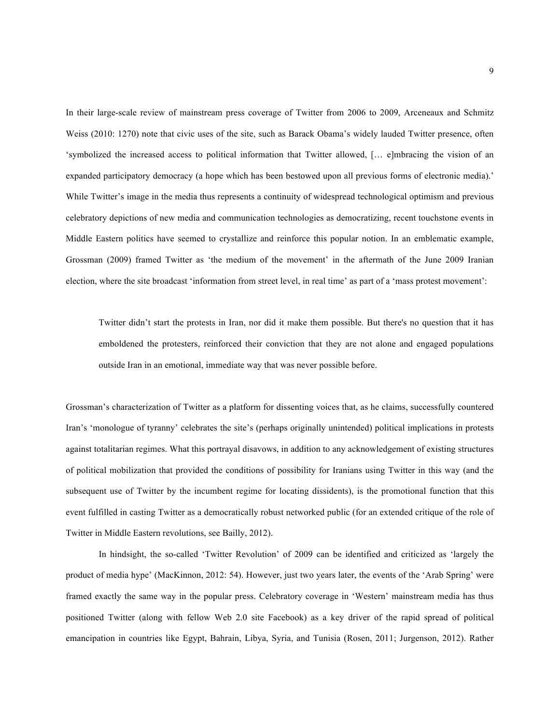In their large-scale review of mainstream press coverage of Twitter from 2006 to 2009, Arceneaux and Schmitz Weiss (2010: 1270) note that civic uses of the site, such as Barack Obama's widely lauded Twitter presence, often 'symbolized the increased access to political information that Twitter allowed, [… e]mbracing the vision of an expanded participatory democracy (a hope which has been bestowed upon all previous forms of electronic media).' While Twitter's image in the media thus represents a continuity of widespread technological optimism and previous celebratory depictions of new media and communication technologies as democratizing, recent touchstone events in Middle Eastern politics have seemed to crystallize and reinforce this popular notion. In an emblematic example, Grossman (2009) framed Twitter as 'the medium of the movement' in the aftermath of the June 2009 Iranian election, where the site broadcast 'information from street level, in real time' as part of a 'mass protest movement':

Twitter didn't start the protests in Iran, nor did it make them possible. But there's no question that it has emboldened the protesters, reinforced their conviction that they are not alone and engaged populations outside Iran in an emotional, immediate way that was never possible before.

Grossman's characterization of Twitter as a platform for dissenting voices that, as he claims, successfully countered Iran's 'monologue of tyranny' celebrates the site's (perhaps originally unintended) political implications in protests against totalitarian regimes. What this portrayal disavows, in addition to any acknowledgement of existing structures of political mobilization that provided the conditions of possibility for Iranians using Twitter in this way (and the subsequent use of Twitter by the incumbent regime for locating dissidents), is the promotional function that this event fulfilled in casting Twitter as a democratically robust networked public (for an extended critique of the role of Twitter in Middle Eastern revolutions, see Bailly, 2012).

In hindsight, the so-called 'Twitter Revolution' of 2009 can be identified and criticized as 'largely the product of media hype' (MacKinnon, 2012: 54). However, just two years later, the events of the 'Arab Spring' were framed exactly the same way in the popular press. Celebratory coverage in 'Western' mainstream media has thus positioned Twitter (along with fellow Web 2.0 site Facebook) as a key driver of the rapid spread of political emancipation in countries like Egypt, Bahrain, Libya, Syria, and Tunisia (Rosen, 2011; Jurgenson, 2012). Rather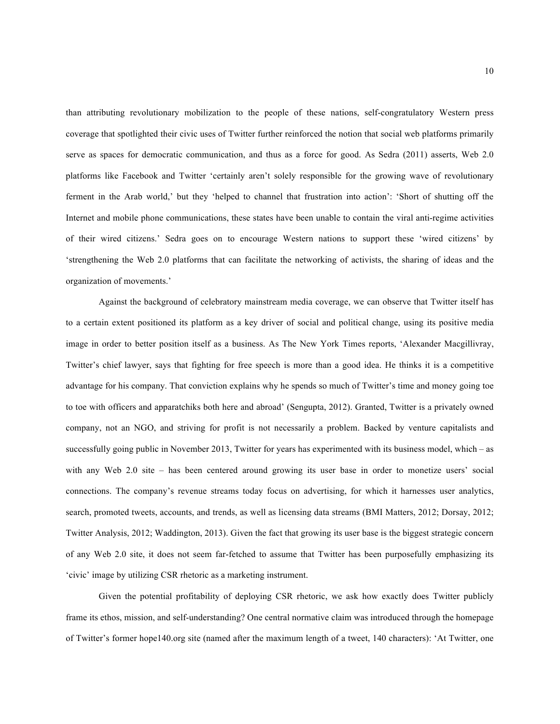than attributing revolutionary mobilization to the people of these nations, self-congratulatory Western press coverage that spotlighted their civic uses of Twitter further reinforced the notion that social web platforms primarily serve as spaces for democratic communication, and thus as a force for good. As Sedra (2011) asserts, Web 2.0 platforms like Facebook and Twitter 'certainly aren't solely responsible for the growing wave of revolutionary ferment in the Arab world,' but they 'helped to channel that frustration into action': 'Short of shutting off the Internet and mobile phone communications, these states have been unable to contain the viral anti-regime activities of their wired citizens.' Sedra goes on to encourage Western nations to support these 'wired citizens' by 'strengthening the Web 2.0 platforms that can facilitate the networking of activists, the sharing of ideas and the organization of movements.'

Against the background of celebratory mainstream media coverage, we can observe that Twitter itself has to a certain extent positioned its platform as a key driver of social and political change, using its positive media image in order to better position itself as a business. As The New York Times reports, 'Alexander Macgillivray, Twitter's chief lawyer, says that fighting for free speech is more than a good idea. He thinks it is a competitive advantage for his company. That conviction explains why he spends so much of Twitter's time and money going toe to toe with officers and apparatchiks both here and abroad' (Sengupta, 2012). Granted, Twitter is a privately owned company, not an NGO, and striving for profit is not necessarily a problem. Backed by venture capitalists and successfully going public in November 2013, Twitter for years has experimented with its business model, which – as with any Web 2.0 site – has been centered around growing its user base in order to monetize users' social connections. The company's revenue streams today focus on advertising, for which it harnesses user analytics, search, promoted tweets, accounts, and trends, as well as licensing data streams (BMI Matters, 2012; Dorsay, 2012; Twitter Analysis, 2012; Waddington, 2013). Given the fact that growing its user base is the biggest strategic concern of any Web 2.0 site, it does not seem far-fetched to assume that Twitter has been purposefully emphasizing its 'civic' image by utilizing CSR rhetoric as a marketing instrument.

Given the potential profitability of deploying CSR rhetoric, we ask how exactly does Twitter publicly frame its ethos, mission, and self-understanding? One central normative claim was introduced through the homepage of Twitter's former hope140.org site (named after the maximum length of a tweet, 140 characters): 'At Twitter, one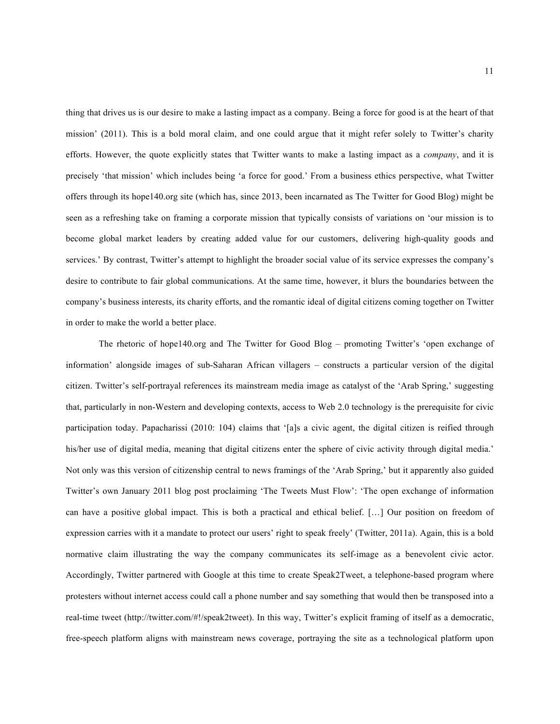thing that drives us is our desire to make a lasting impact as a company. Being a force for good is at the heart of that mission' (2011). This is a bold moral claim, and one could argue that it might refer solely to Twitter's charity efforts. However, the quote explicitly states that Twitter wants to make a lasting impact as a *company*, and it is precisely 'that mission' which includes being 'a force for good.' From a business ethics perspective, what Twitter offers through its hope140.org site (which has, since 2013, been incarnated as The Twitter for Good Blog) might be seen as a refreshing take on framing a corporate mission that typically consists of variations on 'our mission is to become global market leaders by creating added value for our customers, delivering high-quality goods and services.' By contrast, Twitter's attempt to highlight the broader social value of its service expresses the company's desire to contribute to fair global communications. At the same time, however, it blurs the boundaries between the company's business interests, its charity efforts, and the romantic ideal of digital citizens coming together on Twitter in order to make the world a better place.

The rhetoric of hope140.org and The Twitter for Good Blog – promoting Twitter's 'open exchange of information' alongside images of sub-Saharan African villagers – constructs a particular version of the digital citizen. Twitter's self-portrayal references its mainstream media image as catalyst of the 'Arab Spring,' suggesting that, particularly in non-Western and developing contexts, access to Web 2.0 technology is the prerequisite for civic participation today. Papacharissi (2010: 104) claims that '[a]s a civic agent, the digital citizen is reified through his/her use of digital media, meaning that digital citizens enter the sphere of civic activity through digital media.' Not only was this version of citizenship central to news framings of the 'Arab Spring,' but it apparently also guided Twitter's own January 2011 blog post proclaiming 'The Tweets Must Flow': 'The open exchange of information can have a positive global impact. This is both a practical and ethical belief. […] Our position on freedom of expression carries with it a mandate to protect our users' right to speak freely' (Twitter, 2011a). Again, this is a bold normative claim illustrating the way the company communicates its self-image as a benevolent civic actor. Accordingly, Twitter partnered with Google at this time to create Speak2Tweet, a telephone-based program where protesters without internet access could call a phone number and say something that would then be transposed into a real-time tweet (http://twitter.com/#!/speak2tweet). In this way, Twitter's explicit framing of itself as a democratic, free-speech platform aligns with mainstream news coverage, portraying the site as a technological platform upon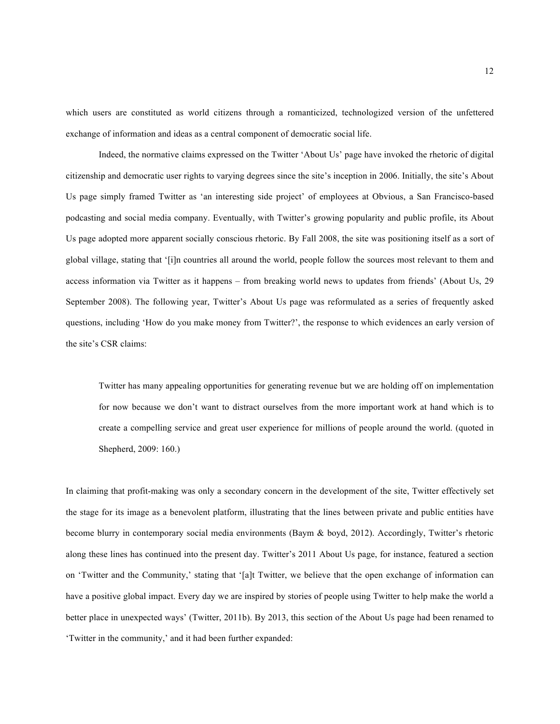which users are constituted as world citizens through a romanticized, technologized version of the unfettered exchange of information and ideas as a central component of democratic social life.

Indeed, the normative claims expressed on the Twitter 'About Us' page have invoked the rhetoric of digital citizenship and democratic user rights to varying degrees since the site's inception in 2006. Initially, the site's About Us page simply framed Twitter as 'an interesting side project' of employees at Obvious, a San Francisco-based podcasting and social media company. Eventually, with Twitter's growing popularity and public profile, its About Us page adopted more apparent socially conscious rhetoric. By Fall 2008, the site was positioning itself as a sort of global village, stating that '[i]n countries all around the world, people follow the sources most relevant to them and access information via Twitter as it happens – from breaking world news to updates from friends' (About Us, 29 September 2008). The following year, Twitter's About Us page was reformulated as a series of frequently asked questions, including 'How do you make money from Twitter?', the response to which evidences an early version of the site's CSR claims:

Twitter has many appealing opportunities for generating revenue but we are holding off on implementation for now because we don't want to distract ourselves from the more important work at hand which is to create a compelling service and great user experience for millions of people around the world. (quoted in Shepherd, 2009: 160.)

In claiming that profit-making was only a secondary concern in the development of the site, Twitter effectively set the stage for its image as a benevolent platform, illustrating that the lines between private and public entities have become blurry in contemporary social media environments (Baym & boyd, 2012). Accordingly, Twitter's rhetoric along these lines has continued into the present day. Twitter's 2011 About Us page, for instance, featured a section on 'Twitter and the Community,' stating that '[a]t Twitter, we believe that the open exchange of information can have a positive global impact. Every day we are inspired by stories of people using Twitter to help make the world a better place in unexpected ways' (Twitter, 2011b). By 2013, this section of the About Us page had been renamed to 'Twitter in the community,' and it had been further expanded: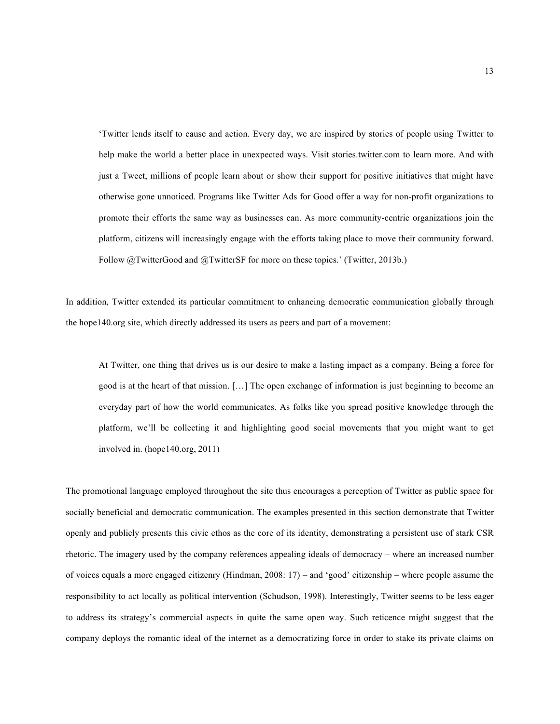'Twitter lends itself to cause and action. Every day, we are inspired by stories of people using Twitter to help make the world a better place in unexpected ways. Visit stories.twitter.com to learn more. And with just a Tweet, millions of people learn about or show their support for positive initiatives that might have otherwise gone unnoticed. Programs like Twitter Ads for Good offer a way for non-profit organizations to promote their efforts the same way as businesses can. As more community-centric organizations join the platform, citizens will increasingly engage with the efforts taking place to move their community forward. Follow @TwitterGood and @TwitterSF for more on these topics.' (Twitter, 2013b.)

In addition, Twitter extended its particular commitment to enhancing democratic communication globally through the hope140.org site, which directly addressed its users as peers and part of a movement:

At Twitter, one thing that drives us is our desire to make a lasting impact as a company. Being a force for good is at the heart of that mission. […] The open exchange of information is just beginning to become an everyday part of how the world communicates. As folks like you spread positive knowledge through the platform, we'll be collecting it and highlighting good social movements that you might want to get involved in. (hope140.org, 2011)

The promotional language employed throughout the site thus encourages a perception of Twitter as public space for socially beneficial and democratic communication. The examples presented in this section demonstrate that Twitter openly and publicly presents this civic ethos as the core of its identity, demonstrating a persistent use of stark CSR rhetoric. The imagery used by the company references appealing ideals of democracy – where an increased number of voices equals a more engaged citizenry (Hindman, 2008: 17) – and 'good' citizenship – where people assume the responsibility to act locally as political intervention (Schudson, 1998). Interestingly, Twitter seems to be less eager to address its strategy's commercial aspects in quite the same open way. Such reticence might suggest that the company deploys the romantic ideal of the internet as a democratizing force in order to stake its private claims on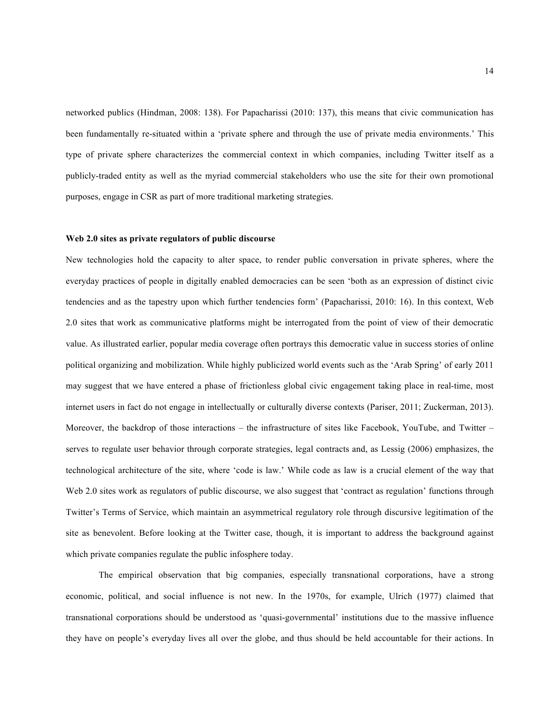networked publics (Hindman, 2008: 138). For Papacharissi (2010: 137), this means that civic communication has been fundamentally re-situated within a 'private sphere and through the use of private media environments.' This type of private sphere characterizes the commercial context in which companies, including Twitter itself as a publicly-traded entity as well as the myriad commercial stakeholders who use the site for their own promotional purposes, engage in CSR as part of more traditional marketing strategies.

#### **Web 2.0 sites as private regulators of public discourse**

New technologies hold the capacity to alter space, to render public conversation in private spheres, where the everyday practices of people in digitally enabled democracies can be seen 'both as an expression of distinct civic tendencies and as the tapestry upon which further tendencies form' (Papacharissi, 2010: 16). In this context, Web 2.0 sites that work as communicative platforms might be interrogated from the point of view of their democratic value. As illustrated earlier, popular media coverage often portrays this democratic value in success stories of online political organizing and mobilization. While highly publicized world events such as the 'Arab Spring' of early 2011 may suggest that we have entered a phase of frictionless global civic engagement taking place in real-time, most internet users in fact do not engage in intellectually or culturally diverse contexts (Pariser, 2011; Zuckerman, 2013). Moreover, the backdrop of those interactions – the infrastructure of sites like Facebook, YouTube, and Twitter – serves to regulate user behavior through corporate strategies, legal contracts and, as Lessig (2006) emphasizes, the technological architecture of the site, where 'code is law.' While code as law is a crucial element of the way that Web 2.0 sites work as regulators of public discourse, we also suggest that 'contract as regulation' functions through Twitter's Terms of Service, which maintain an asymmetrical regulatory role through discursive legitimation of the site as benevolent. Before looking at the Twitter case, though, it is important to address the background against which private companies regulate the public infosphere today.

The empirical observation that big companies, especially transnational corporations, have a strong economic, political, and social influence is not new. In the 1970s, for example, Ulrich (1977) claimed that transnational corporations should be understood as 'quasi-governmental' institutions due to the massive influence they have on people's everyday lives all over the globe, and thus should be held accountable for their actions. In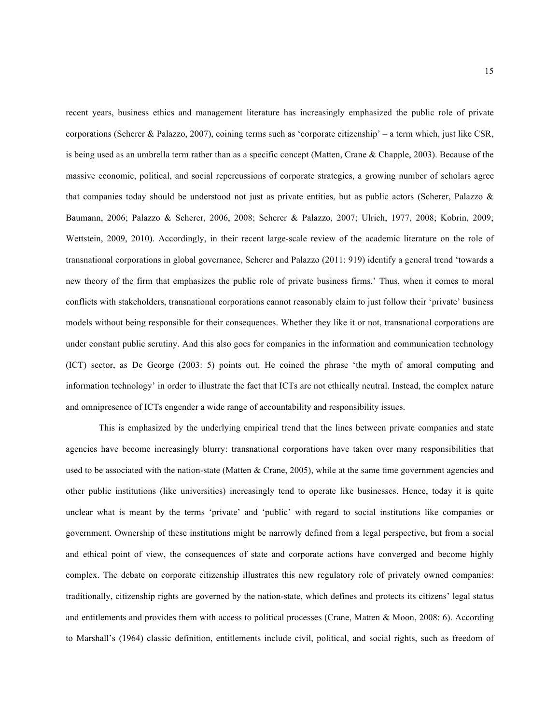recent years, business ethics and management literature has increasingly emphasized the public role of private corporations (Scherer & Palazzo, 2007), coining terms such as 'corporate citizenship' – a term which, just like CSR, is being used as an umbrella term rather than as a specific concept (Matten, Crane & Chapple, 2003). Because of the massive economic, political, and social repercussions of corporate strategies, a growing number of scholars agree that companies today should be understood not just as private entities, but as public actors (Scherer, Palazzo & Baumann, 2006; Palazzo & Scherer, 2006, 2008; Scherer & Palazzo, 2007; Ulrich, 1977, 2008; Kobrin, 2009; Wettstein, 2009, 2010). Accordingly, in their recent large-scale review of the academic literature on the role of transnational corporations in global governance, Scherer and Palazzo (2011: 919) identify a general trend 'towards a new theory of the firm that emphasizes the public role of private business firms.' Thus, when it comes to moral conflicts with stakeholders, transnational corporations cannot reasonably claim to just follow their 'private' business models without being responsible for their consequences. Whether they like it or not, transnational corporations are under constant public scrutiny. And this also goes for companies in the information and communication technology (ICT) sector, as De George (2003: 5) points out. He coined the phrase 'the myth of amoral computing and information technology' in order to illustrate the fact that ICTs are not ethically neutral. Instead, the complex nature and omnipresence of ICTs engender a wide range of accountability and responsibility issues.

This is emphasized by the underlying empirical trend that the lines between private companies and state agencies have become increasingly blurry: transnational corporations have taken over many responsibilities that used to be associated with the nation-state (Matten  $&$  Crane, 2005), while at the same time government agencies and other public institutions (like universities) increasingly tend to operate like businesses. Hence, today it is quite unclear what is meant by the terms 'private' and 'public' with regard to social institutions like companies or government. Ownership of these institutions might be narrowly defined from a legal perspective, but from a social and ethical point of view, the consequences of state and corporate actions have converged and become highly complex. The debate on corporate citizenship illustrates this new regulatory role of privately owned companies: traditionally, citizenship rights are governed by the nation-state, which defines and protects its citizens' legal status and entitlements and provides them with access to political processes (Crane, Matten & Moon, 2008: 6). According to Marshall's (1964) classic definition, entitlements include civil, political, and social rights, such as freedom of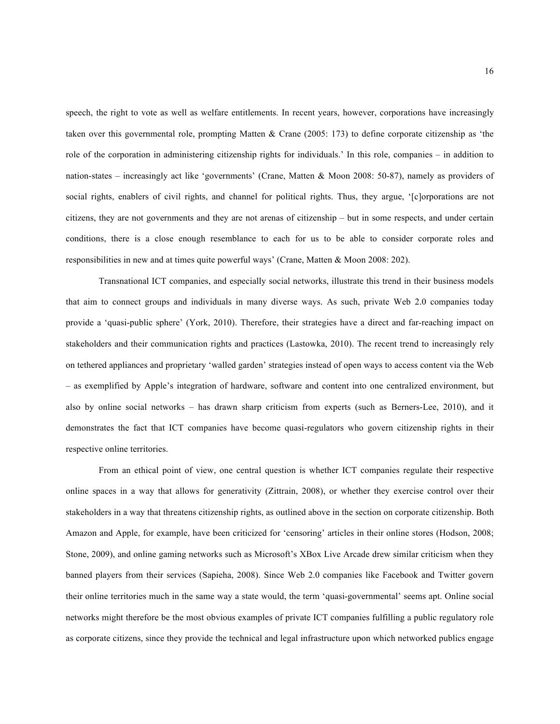speech, the right to vote as well as welfare entitlements. In recent years, however, corporations have increasingly taken over this governmental role, prompting Matten & Crane (2005: 173) to define corporate citizenship as 'the role of the corporation in administering citizenship rights for individuals.' In this role, companies – in addition to nation-states – increasingly act like 'governments' (Crane, Matten & Moon 2008: 50-87), namely as providers of social rights, enablers of civil rights, and channel for political rights. Thus, they argue, '[c]orporations are not citizens, they are not governments and they are not arenas of citizenship – but in some respects, and under certain conditions, there is a close enough resemblance to each for us to be able to consider corporate roles and responsibilities in new and at times quite powerful ways' (Crane, Matten & Moon 2008: 202).

Transnational ICT companies, and especially social networks, illustrate this trend in their business models that aim to connect groups and individuals in many diverse ways. As such, private Web 2.0 companies today provide a 'quasi-public sphere' (York, 2010). Therefore, their strategies have a direct and far-reaching impact on stakeholders and their communication rights and practices (Lastowka, 2010). The recent trend to increasingly rely on tethered appliances and proprietary 'walled garden' strategies instead of open ways to access content via the Web – as exemplified by Apple's integration of hardware, software and content into one centralized environment, but also by online social networks – has drawn sharp criticism from experts (such as Berners-Lee, 2010), and it demonstrates the fact that ICT companies have become quasi-regulators who govern citizenship rights in their respective online territories.

From an ethical point of view, one central question is whether ICT companies regulate their respective online spaces in a way that allows for generativity (Zittrain, 2008), or whether they exercise control over their stakeholders in a way that threatens citizenship rights, as outlined above in the section on corporate citizenship. Both Amazon and Apple, for example, have been criticized for 'censoring' articles in their online stores (Hodson, 2008; Stone, 2009), and online gaming networks such as Microsoft's XBox Live Arcade drew similar criticism when they banned players from their services (Sapieha, 2008). Since Web 2.0 companies like Facebook and Twitter govern their online territories much in the same way a state would, the term 'quasi-governmental' seems apt. Online social networks might therefore be the most obvious examples of private ICT companies fulfilling a public regulatory role as corporate citizens, since they provide the technical and legal infrastructure upon which networked publics engage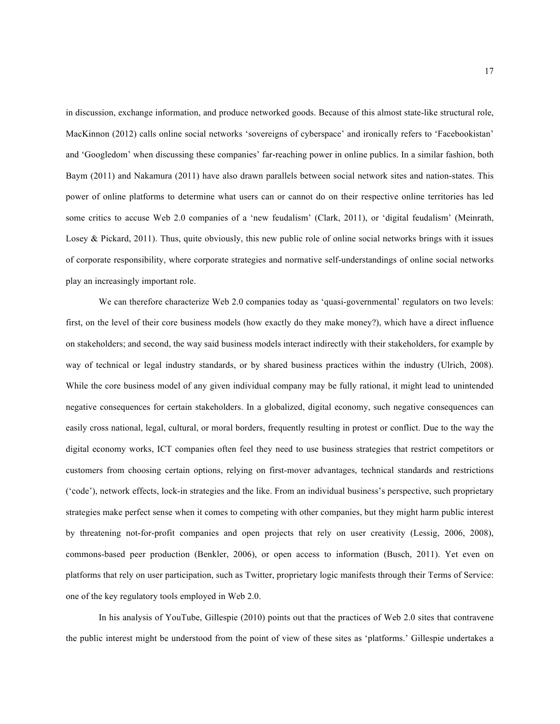in discussion, exchange information, and produce networked goods. Because of this almost state-like structural role, MacKinnon (2012) calls online social networks 'sovereigns of cyberspace' and ironically refers to 'Facebookistan' and 'Googledom' when discussing these companies' far-reaching power in online publics. In a similar fashion, both Baym (2011) and Nakamura (2011) have also drawn parallels between social network sites and nation-states. This power of online platforms to determine what users can or cannot do on their respective online territories has led some critics to accuse Web 2.0 companies of a 'new feudalism' (Clark, 2011), or 'digital feudalism' (Meinrath, Losey & Pickard, 2011). Thus, quite obviously, this new public role of online social networks brings with it issues of corporate responsibility, where corporate strategies and normative self-understandings of online social networks play an increasingly important role.

We can therefore characterize Web 2.0 companies today as 'quasi-governmental' regulators on two levels: first, on the level of their core business models (how exactly do they make money?), which have a direct influence on stakeholders; and second, the way said business models interact indirectly with their stakeholders, for example by way of technical or legal industry standards, or by shared business practices within the industry (Ulrich, 2008). While the core business model of any given individual company may be fully rational, it might lead to unintended negative consequences for certain stakeholders. In a globalized, digital economy, such negative consequences can easily cross national, legal, cultural, or moral borders, frequently resulting in protest or conflict. Due to the way the digital economy works, ICT companies often feel they need to use business strategies that restrict competitors or customers from choosing certain options, relying on first-mover advantages, technical standards and restrictions ('code'), network effects, lock-in strategies and the like. From an individual business's perspective, such proprietary strategies make perfect sense when it comes to competing with other companies, but they might harm public interest by threatening not-for-profit companies and open projects that rely on user creativity (Lessig, 2006, 2008), commons-based peer production (Benkler, 2006), or open access to information (Busch, 2011). Yet even on platforms that rely on user participation, such as Twitter, proprietary logic manifests through their Terms of Service: one of the key regulatory tools employed in Web 2.0.

In his analysis of YouTube, Gillespie (2010) points out that the practices of Web 2.0 sites that contravene the public interest might be understood from the point of view of these sites as 'platforms.' Gillespie undertakes a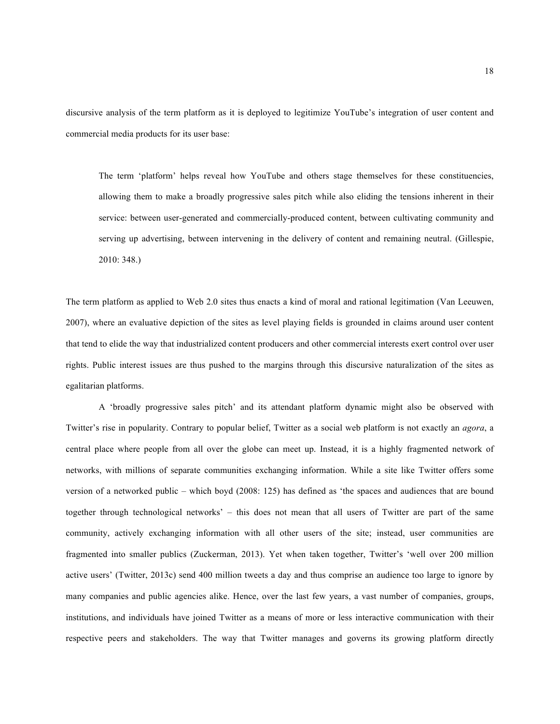discursive analysis of the term platform as it is deployed to legitimize YouTube's integration of user content and commercial media products for its user base:

The term 'platform' helps reveal how YouTube and others stage themselves for these constituencies, allowing them to make a broadly progressive sales pitch while also eliding the tensions inherent in their service: between user-generated and commercially-produced content, between cultivating community and serving up advertising, between intervening in the delivery of content and remaining neutral. (Gillespie, 2010: 348.)

The term platform as applied to Web 2.0 sites thus enacts a kind of moral and rational legitimation (Van Leeuwen, 2007), where an evaluative depiction of the sites as level playing fields is grounded in claims around user content that tend to elide the way that industrialized content producers and other commercial interests exert control over user rights. Public interest issues are thus pushed to the margins through this discursive naturalization of the sites as egalitarian platforms.

A 'broadly progressive sales pitch' and its attendant platform dynamic might also be observed with Twitter's rise in popularity. Contrary to popular belief, Twitter as a social web platform is not exactly an *agora*, a central place where people from all over the globe can meet up. Instead, it is a highly fragmented network of networks, with millions of separate communities exchanging information. While a site like Twitter offers some version of a networked public – which boyd (2008: 125) has defined as 'the spaces and audiences that are bound together through technological networks' – this does not mean that all users of Twitter are part of the same community, actively exchanging information with all other users of the site; instead, user communities are fragmented into smaller publics (Zuckerman, 2013). Yet when taken together, Twitter's 'well over 200 million active users' (Twitter, 2013c) send 400 million tweets a day and thus comprise an audience too large to ignore by many companies and public agencies alike. Hence, over the last few years, a vast number of companies, groups, institutions, and individuals have joined Twitter as a means of more or less interactive communication with their respective peers and stakeholders. The way that Twitter manages and governs its growing platform directly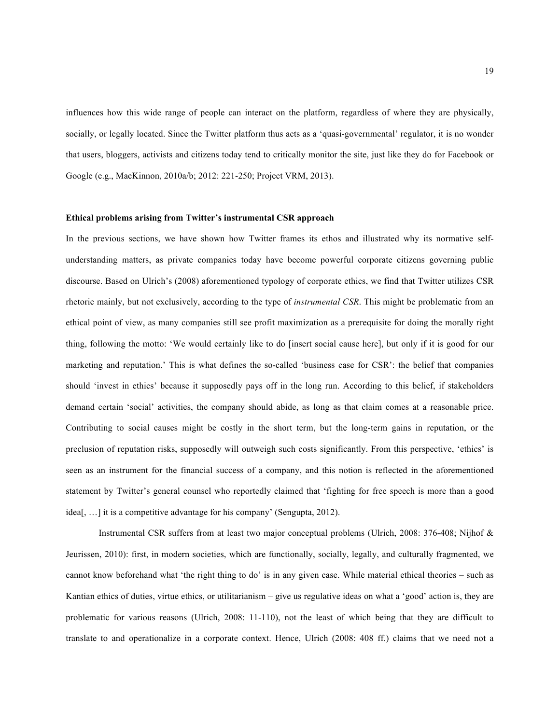influences how this wide range of people can interact on the platform, regardless of where they are physically, socially, or legally located. Since the Twitter platform thus acts as a 'quasi-governmental' regulator, it is no wonder that users, bloggers, activists and citizens today tend to critically monitor the site, just like they do for Facebook or Google (e.g., MacKinnon, 2010a/b; 2012: 221-250; Project VRM, 2013).

#### **Ethical problems arising from Twitter's instrumental CSR approach**

In the previous sections, we have shown how Twitter frames its ethos and illustrated why its normative selfunderstanding matters, as private companies today have become powerful corporate citizens governing public discourse. Based on Ulrich's (2008) aforementioned typology of corporate ethics, we find that Twitter utilizes CSR rhetoric mainly, but not exclusively, according to the type of *instrumental CSR*. This might be problematic from an ethical point of view, as many companies still see profit maximization as a prerequisite for doing the morally right thing, following the motto: 'We would certainly like to do [insert social cause here], but only if it is good for our marketing and reputation.' This is what defines the so-called 'business case for CSR': the belief that companies should 'invest in ethics' because it supposedly pays off in the long run. According to this belief, if stakeholders demand certain 'social' activities, the company should abide, as long as that claim comes at a reasonable price. Contributing to social causes might be costly in the short term, but the long-term gains in reputation, or the preclusion of reputation risks, supposedly will outweigh such costs significantly. From this perspective, 'ethics' is seen as an instrument for the financial success of a company, and this notion is reflected in the aforementioned statement by Twitter's general counsel who reportedly claimed that 'fighting for free speech is more than a good idea[, …] it is a competitive advantage for his company' (Sengupta, 2012).

Instrumental CSR suffers from at least two major conceptual problems (Ulrich, 2008: 376-408; Nijhof & Jeurissen, 2010): first, in modern societies, which are functionally, socially, legally, and culturally fragmented, we cannot know beforehand what 'the right thing to do' is in any given case. While material ethical theories – such as Kantian ethics of duties, virtue ethics, or utilitarianism – give us regulative ideas on what a 'good' action is, they are problematic for various reasons (Ulrich, 2008: 11-110), not the least of which being that they are difficult to translate to and operationalize in a corporate context. Hence, Ulrich (2008: 408 ff.) claims that we need not a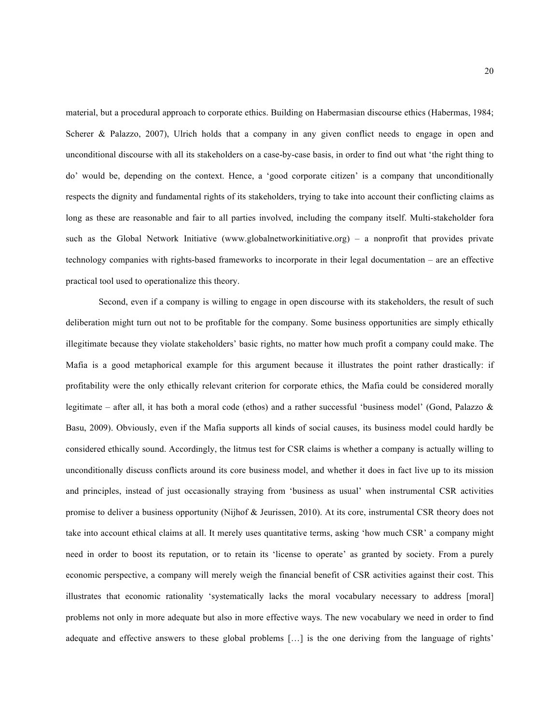material, but a procedural approach to corporate ethics. Building on Habermasian discourse ethics (Habermas, 1984; Scherer & Palazzo, 2007), Ulrich holds that a company in any given conflict needs to engage in open and unconditional discourse with all its stakeholders on a case-by-case basis, in order to find out what 'the right thing to do' would be, depending on the context. Hence, a 'good corporate citizen' is a company that unconditionally respects the dignity and fundamental rights of its stakeholders, trying to take into account their conflicting claims as long as these are reasonable and fair to all parties involved, including the company itself. Multi-stakeholder fora such as the Global Network Initiative (www.globalnetworkinitiative.org) – a nonprofit that provides private technology companies with rights-based frameworks to incorporate in their legal documentation – are an effective practical tool used to operationalize this theory.

Second, even if a company is willing to engage in open discourse with its stakeholders, the result of such deliberation might turn out not to be profitable for the company. Some business opportunities are simply ethically illegitimate because they violate stakeholders' basic rights, no matter how much profit a company could make. The Mafia is a good metaphorical example for this argument because it illustrates the point rather drastically: if profitability were the only ethically relevant criterion for corporate ethics, the Mafia could be considered morally legitimate – after all, it has both a moral code (ethos) and a rather successful 'business model' (Gond, Palazzo & Basu, 2009). Obviously, even if the Mafia supports all kinds of social causes, its business model could hardly be considered ethically sound. Accordingly, the litmus test for CSR claims is whether a company is actually willing to unconditionally discuss conflicts around its core business model, and whether it does in fact live up to its mission and principles, instead of just occasionally straying from 'business as usual' when instrumental CSR activities promise to deliver a business opportunity (Nijhof & Jeurissen, 2010). At its core, instrumental CSR theory does not take into account ethical claims at all. It merely uses quantitative terms, asking 'how much CSR' a company might need in order to boost its reputation, or to retain its 'license to operate' as granted by society. From a purely economic perspective, a company will merely weigh the financial benefit of CSR activities against their cost. This illustrates that economic rationality 'systematically lacks the moral vocabulary necessary to address [moral] problems not only in more adequate but also in more effective ways. The new vocabulary we need in order to find adequate and effective answers to these global problems […] is the one deriving from the language of rights'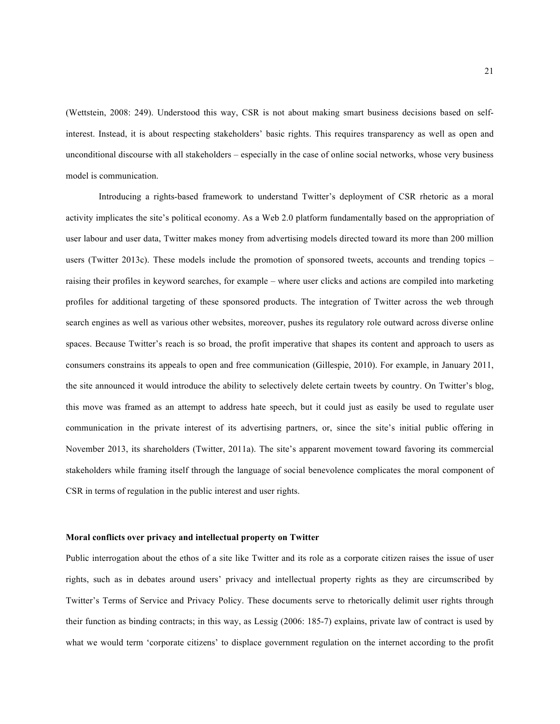(Wettstein, 2008: 249). Understood this way, CSR is not about making smart business decisions based on selfinterest. Instead, it is about respecting stakeholders' basic rights. This requires transparency as well as open and unconditional discourse with all stakeholders – especially in the case of online social networks, whose very business model is communication.

Introducing a rights-based framework to understand Twitter's deployment of CSR rhetoric as a moral activity implicates the site's political economy. As a Web 2.0 platform fundamentally based on the appropriation of user labour and user data, Twitter makes money from advertising models directed toward its more than 200 million users (Twitter 2013c). These models include the promotion of sponsored tweets, accounts and trending topics – raising their profiles in keyword searches, for example – where user clicks and actions are compiled into marketing profiles for additional targeting of these sponsored products. The integration of Twitter across the web through search engines as well as various other websites, moreover, pushes its regulatory role outward across diverse online spaces. Because Twitter's reach is so broad, the profit imperative that shapes its content and approach to users as consumers constrains its appeals to open and free communication (Gillespie, 2010). For example, in January 2011, the site announced it would introduce the ability to selectively delete certain tweets by country. On Twitter's blog, this move was framed as an attempt to address hate speech, but it could just as easily be used to regulate user communication in the private interest of its advertising partners, or, since the site's initial public offering in November 2013, its shareholders (Twitter, 2011a). The site's apparent movement toward favoring its commercial stakeholders while framing itself through the language of social benevolence complicates the moral component of CSR in terms of regulation in the public interest and user rights.

#### **Moral conflicts over privacy and intellectual property on Twitter**

Public interrogation about the ethos of a site like Twitter and its role as a corporate citizen raises the issue of user rights, such as in debates around users' privacy and intellectual property rights as they are circumscribed by Twitter's Terms of Service and Privacy Policy. These documents serve to rhetorically delimit user rights through their function as binding contracts; in this way, as Lessig (2006: 185-7) explains, private law of contract is used by what we would term 'corporate citizens' to displace government regulation on the internet according to the profit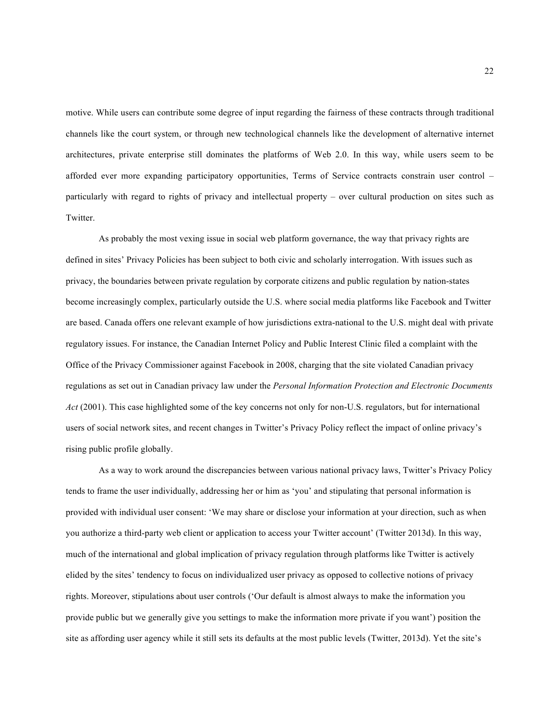motive. While users can contribute some degree of input regarding the fairness of these contracts through traditional channels like the court system, or through new technological channels like the development of alternative internet architectures, private enterprise still dominates the platforms of Web 2.0. In this way, while users seem to be afforded ever more expanding participatory opportunities, Terms of Service contracts constrain user control – particularly with regard to rights of privacy and intellectual property – over cultural production on sites such as Twitter.

As probably the most vexing issue in social web platform governance, the way that privacy rights are defined in sites' Privacy Policies has been subject to both civic and scholarly interrogation. With issues such as privacy, the boundaries between private regulation by corporate citizens and public regulation by nation-states become increasingly complex, particularly outside the U.S. where social media platforms like Facebook and Twitter are based. Canada offers one relevant example of how jurisdictions extra-national to the U.S. might deal with private regulatory issues. For instance, the Canadian Internet Policy and Public Interest Clinic filed a complaint with the Office of the Privacy Commissioner against Facebook in 2008, charging that the site violated Canadian privacy regulations as set out in Canadian privacy law under the *Personal Information Protection and Electronic Documents Act* (2001). This case highlighted some of the key concerns not only for non-U.S. regulators, but for international users of social network sites, and recent changes in Twitter's Privacy Policy reflect the impact of online privacy's rising public profile globally.

As a way to work around the discrepancies between various national privacy laws, Twitter's Privacy Policy tends to frame the user individually, addressing her or him as 'you' and stipulating that personal information is provided with individual user consent: 'We may share or disclose your information at your direction, such as when you authorize a third-party web client or application to access your Twitter account' (Twitter 2013d). In this way, much of the international and global implication of privacy regulation through platforms like Twitter is actively elided by the sites' tendency to focus on individualized user privacy as opposed to collective notions of privacy rights. Moreover, stipulations about user controls ('Our default is almost always to make the information you provide public but we generally give you settings to make the information more private if you want') position the site as affording user agency while it still sets its defaults at the most public levels (Twitter, 2013d). Yet the site's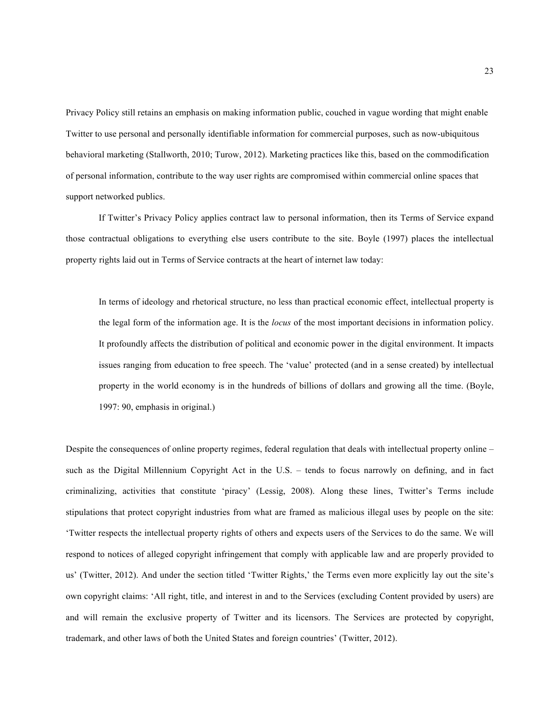Privacy Policy still retains an emphasis on making information public, couched in vague wording that might enable Twitter to use personal and personally identifiable information for commercial purposes, such as now-ubiquitous behavioral marketing (Stallworth, 2010; Turow, 2012). Marketing practices like this, based on the commodification of personal information, contribute to the way user rights are compromised within commercial online spaces that support networked publics.

If Twitter's Privacy Policy applies contract law to personal information, then its Terms of Service expand those contractual obligations to everything else users contribute to the site. Boyle (1997) places the intellectual property rights laid out in Terms of Service contracts at the heart of internet law today:

In terms of ideology and rhetorical structure, no less than practical economic effect, intellectual property is the legal form of the information age. It is the *locus* of the most important decisions in information policy. It profoundly affects the distribution of political and economic power in the digital environment. It impacts issues ranging from education to free speech. The 'value' protected (and in a sense created) by intellectual property in the world economy is in the hundreds of billions of dollars and growing all the time. (Boyle, 1997: 90, emphasis in original.)

Despite the consequences of online property regimes, federal regulation that deals with intellectual property online – such as the Digital Millennium Copyright Act in the U.S. – tends to focus narrowly on defining, and in fact criminalizing, activities that constitute 'piracy' (Lessig, 2008). Along these lines, Twitter's Terms include stipulations that protect copyright industries from what are framed as malicious illegal uses by people on the site: 'Twitter respects the intellectual property rights of others and expects users of the Services to do the same. We will respond to notices of alleged copyright infringement that comply with applicable law and are properly provided to us' (Twitter, 2012). And under the section titled 'Twitter Rights,' the Terms even more explicitly lay out the site's own copyright claims: 'All right, title, and interest in and to the Services (excluding Content provided by users) are and will remain the exclusive property of Twitter and its licensors. The Services are protected by copyright, trademark, and other laws of both the United States and foreign countries' (Twitter, 2012).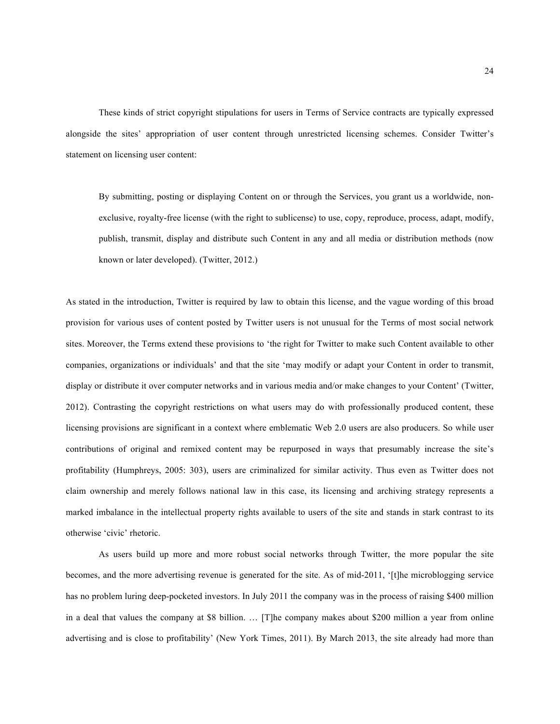These kinds of strict copyright stipulations for users in Terms of Service contracts are typically expressed alongside the sites' appropriation of user content through unrestricted licensing schemes. Consider Twitter's statement on licensing user content:

By submitting, posting or displaying Content on or through the Services, you grant us a worldwide, nonexclusive, royalty-free license (with the right to sublicense) to use, copy, reproduce, process, adapt, modify, publish, transmit, display and distribute such Content in any and all media or distribution methods (now known or later developed). (Twitter, 2012.)

As stated in the introduction, Twitter is required by law to obtain this license, and the vague wording of this broad provision for various uses of content posted by Twitter users is not unusual for the Terms of most social network sites. Moreover, the Terms extend these provisions to 'the right for Twitter to make such Content available to other companies, organizations or individuals' and that the site 'may modify or adapt your Content in order to transmit, display or distribute it over computer networks and in various media and/or make changes to your Content' (Twitter, 2012). Contrasting the copyright restrictions on what users may do with professionally produced content, these licensing provisions are significant in a context where emblematic Web 2.0 users are also producers. So while user contributions of original and remixed content may be repurposed in ways that presumably increase the site's profitability (Humphreys, 2005: 303), users are criminalized for similar activity. Thus even as Twitter does not claim ownership and merely follows national law in this case, its licensing and archiving strategy represents a marked imbalance in the intellectual property rights available to users of the site and stands in stark contrast to its otherwise 'civic' rhetoric.

As users build up more and more robust social networks through Twitter, the more popular the site becomes, and the more advertising revenue is generated for the site. As of mid-2011, '[t]he microblogging service has no problem luring deep-pocketed investors. In July 2011 the company was in the process of raising \$400 million in a deal that values the company at \$8 billion. … [T]he company makes about \$200 million a year from online advertising and is close to profitability' (New York Times, 2011). By March 2013, the site already had more than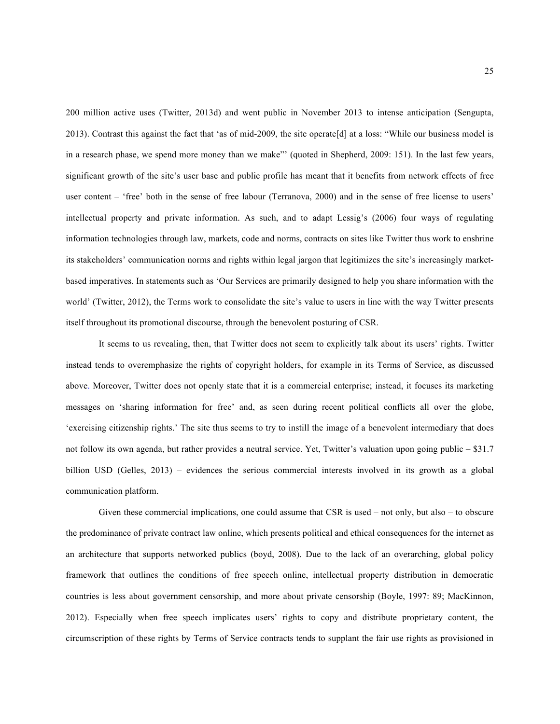200 million active uses (Twitter, 2013d) and went public in November 2013 to intense anticipation (Sengupta, 2013). Contrast this against the fact that 'as of mid-2009, the site operate[d] at a loss: "While our business model is in a research phase, we spend more money than we make"' (quoted in Shepherd, 2009: 151). In the last few years, significant growth of the site's user base and public profile has meant that it benefits from network effects of free user content – 'free' both in the sense of free labour (Terranova, 2000) and in the sense of free license to users' intellectual property and private information. As such, and to adapt Lessig's (2006) four ways of regulating information technologies through law, markets, code and norms, contracts on sites like Twitter thus work to enshrine its stakeholders' communication norms and rights within legal jargon that legitimizes the site's increasingly marketbased imperatives. In statements such as 'Our Services are primarily designed to help you share information with the world' (Twitter, 2012), the Terms work to consolidate the site's value to users in line with the way Twitter presents itself throughout its promotional discourse, through the benevolent posturing of CSR.

It seems to us revealing, then, that Twitter does not seem to explicitly talk about its users' rights. Twitter instead tends to overemphasize the rights of copyright holders, for example in its Terms of Service, as discussed above. Moreover, Twitter does not openly state that it is a commercial enterprise; instead, it focuses its marketing messages on 'sharing information for free' and, as seen during recent political conflicts all over the globe, 'exercising citizenship rights.' The site thus seems to try to instill the image of a benevolent intermediary that does not follow its own agenda, but rather provides a neutral service. Yet, Twitter's valuation upon going public – \$31.7 billion USD (Gelles, 2013) – evidences the serious commercial interests involved in its growth as a global communication platform.

Given these commercial implications, one could assume that CSR is used – not only, but also – to obscure the predominance of private contract law online, which presents political and ethical consequences for the internet as an architecture that supports networked publics (boyd, 2008). Due to the lack of an overarching, global policy framework that outlines the conditions of free speech online, intellectual property distribution in democratic countries is less about government censorship, and more about private censorship (Boyle, 1997: 89; MacKinnon, 2012). Especially when free speech implicates users' rights to copy and distribute proprietary content, the circumscription of these rights by Terms of Service contracts tends to supplant the fair use rights as provisioned in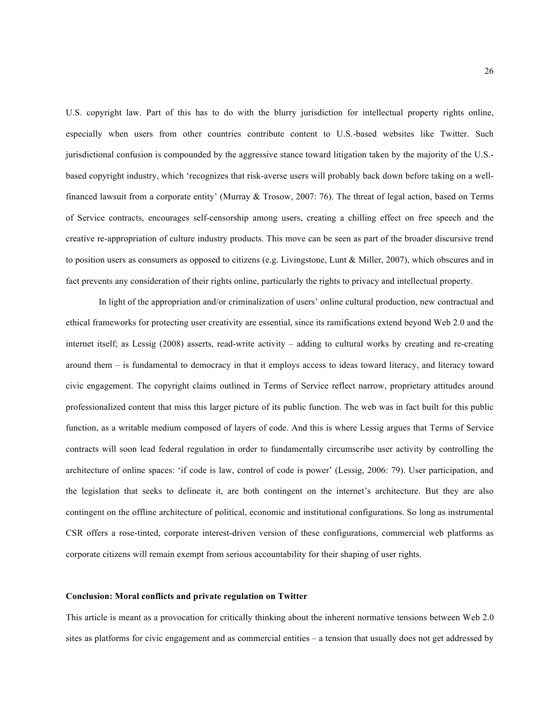U.S. copyright law. Part of this has to do with the blurry jurisdiction for intellectual property rights online, especially when users from other countries contribute content to U.S.-based websites like Twitter. Such jurisdictional confusion is compounded by the aggressive stance toward litigation taken by the majority of the U.S. based copyright industry, which 'recognizes that risk-averse users will probably back down before taking on a wellfinanced lawsuit from a corporate entity' (Murray & Trosow, 2007: 76). The threat of legal action, based on Terms of Service contracts, encourages self-censorship among users, creating a chilling effect on free speech and the creative re-appropriation of culture industry products. This move can be seen as part of the broader discursive trend to position users as consumers as opposed to citizens (e.g. Livingstone, Lunt & Miller, 2007), which obscures and in fact prevents any consideration of their rights online, particularly the rights to privacy and intellectual property.

In light of the appropriation and/or criminalization of users' online cultural production, new contractual and ethical frameworks for protecting user creativity are essential, since its ramifications extend beyond Web 2.0 and the internet itself; as Lessig (2008) asserts, read-write activity – adding to cultural works by creating and re-creating around them – is fundamental to democracy in that it employs access to ideas toward literacy, and literacy toward civic engagement. The copyright claims outlined in Terms of Service reflect narrow, proprietary attitudes around professionalized content that miss this larger picture of its public function. The web was in fact built for this public function, as a writable medium composed of layers of code. And this is where Lessig argues that Terms of Service contracts will soon lead federal regulation in order to fundamentally circumscribe user activity by controlling the architecture of online spaces: 'if code is law, control of code is power' (Lessig, 2006: 79). User participation, and the legislation that seeks to delineate it, are both contingent on the internet's architecture. But they are also contingent on the offline architecture of political, economic and institutional configurations. So long as instrumental CSR offers a rose-tinted, corporate interest-driven version of these configurations, commercial web platforms as corporate citizens will remain exempt from serious accountability for their shaping of user rights.

#### **Conclusion: Moral conflicts and private regulation on Twitter**

This article is meant as a provocation for critically thinking about the inherent normative tensions between Web 2.0 sites as platforms for civic engagement and as commercial entities – a tension that usually does not get addressed by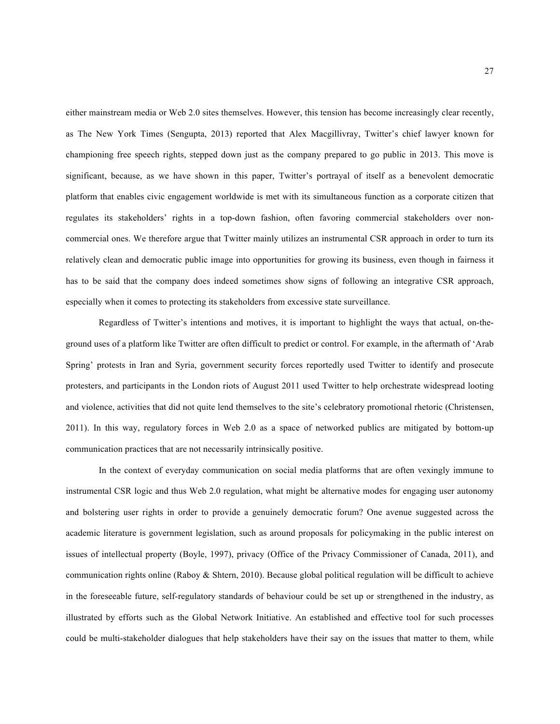either mainstream media or Web 2.0 sites themselves. However, this tension has become increasingly clear recently, as The New York Times (Sengupta, 2013) reported that Alex Macgillivray, Twitter's chief lawyer known for championing free speech rights, stepped down just as the company prepared to go public in 2013. This move is significant, because, as we have shown in this paper, Twitter's portrayal of itself as a benevolent democratic platform that enables civic engagement worldwide is met with its simultaneous function as a corporate citizen that regulates its stakeholders' rights in a top-down fashion, often favoring commercial stakeholders over noncommercial ones. We therefore argue that Twitter mainly utilizes an instrumental CSR approach in order to turn its relatively clean and democratic public image into opportunities for growing its business, even though in fairness it has to be said that the company does indeed sometimes show signs of following an integrative CSR approach, especially when it comes to protecting its stakeholders from excessive state surveillance.

Regardless of Twitter's intentions and motives, it is important to highlight the ways that actual, on-theground uses of a platform like Twitter are often difficult to predict or control. For example, in the aftermath of 'Arab Spring' protests in Iran and Syria, government security forces reportedly used Twitter to identify and prosecute protesters, and participants in the London riots of August 2011 used Twitter to help orchestrate widespread looting and violence, activities that did not quite lend themselves to the site's celebratory promotional rhetoric (Christensen, 2011). In this way, regulatory forces in Web 2.0 as a space of networked publics are mitigated by bottom-up communication practices that are not necessarily intrinsically positive.

In the context of everyday communication on social media platforms that are often vexingly immune to instrumental CSR logic and thus Web 2.0 regulation, what might be alternative modes for engaging user autonomy and bolstering user rights in order to provide a genuinely democratic forum? One avenue suggested across the academic literature is government legislation, such as around proposals for policymaking in the public interest on issues of intellectual property (Boyle, 1997), privacy (Office of the Privacy Commissioner of Canada, 2011), and communication rights online (Raboy & Shtern, 2010). Because global political regulation will be difficult to achieve in the foreseeable future, self-regulatory standards of behaviour could be set up or strengthened in the industry, as illustrated by efforts such as the Global Network Initiative. An established and effective tool for such processes could be multi-stakeholder dialogues that help stakeholders have their say on the issues that matter to them, while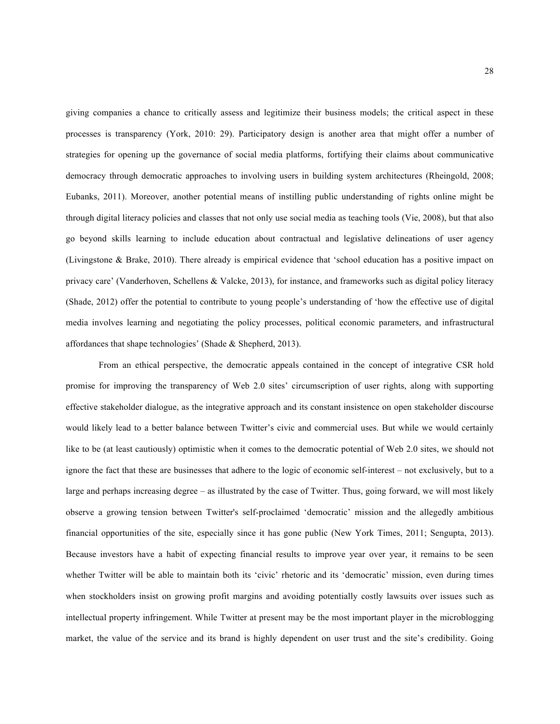giving companies a chance to critically assess and legitimize their business models; the critical aspect in these processes is transparency (York, 2010: 29). Participatory design is another area that might offer a number of strategies for opening up the governance of social media platforms, fortifying their claims about communicative democracy through democratic approaches to involving users in building system architectures (Rheingold, 2008; Eubanks, 2011). Moreover, another potential means of instilling public understanding of rights online might be through digital literacy policies and classes that not only use social media as teaching tools (Vie, 2008), but that also go beyond skills learning to include education about contractual and legislative delineations of user agency (Livingstone & Brake, 2010). There already is empirical evidence that 'school education has a positive impact on privacy care' (Vanderhoven, Schellens & Valcke, 2013), for instance, and frameworks such as digital policy literacy (Shade, 2012) offer the potential to contribute to young people's understanding of 'how the effective use of digital media involves learning and negotiating the policy processes, political economic parameters, and infrastructural affordances that shape technologies' (Shade & Shepherd, 2013).

From an ethical perspective, the democratic appeals contained in the concept of integrative CSR hold promise for improving the transparency of Web 2.0 sites' circumscription of user rights, along with supporting effective stakeholder dialogue, as the integrative approach and its constant insistence on open stakeholder discourse would likely lead to a better balance between Twitter's civic and commercial uses. But while we would certainly like to be (at least cautiously) optimistic when it comes to the democratic potential of Web 2.0 sites, we should not ignore the fact that these are businesses that adhere to the logic of economic self-interest – not exclusively, but to a large and perhaps increasing degree – as illustrated by the case of Twitter. Thus, going forward, we will most likely observe a growing tension between Twitter's self-proclaimed 'democratic' mission and the allegedly ambitious financial opportunities of the site, especially since it has gone public (New York Times, 2011; Sengupta, 2013). Because investors have a habit of expecting financial results to improve year over year, it remains to be seen whether Twitter will be able to maintain both its 'civic' rhetoric and its 'democratic' mission, even during times when stockholders insist on growing profit margins and avoiding potentially costly lawsuits over issues such as intellectual property infringement. While Twitter at present may be the most important player in the microblogging market, the value of the service and its brand is highly dependent on user trust and the site's credibility. Going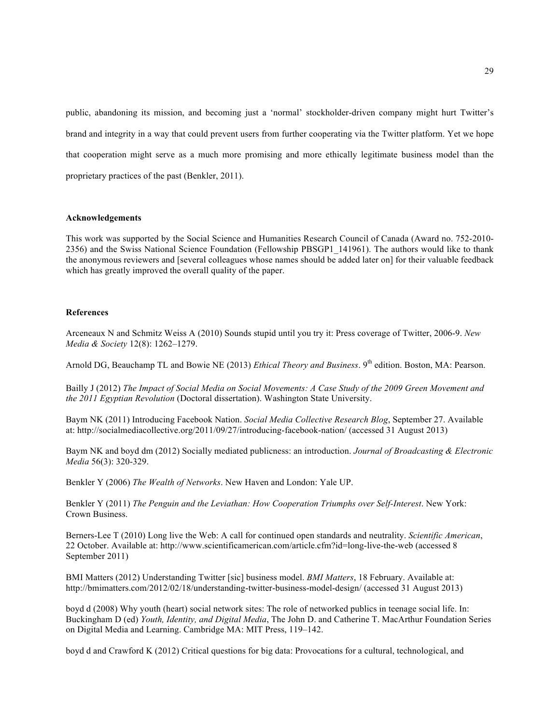public, abandoning its mission, and becoming just a 'normal' stockholder-driven company might hurt Twitter's brand and integrity in a way that could prevent users from further cooperating via the Twitter platform. Yet we hope that cooperation might serve as a much more promising and more ethically legitimate business model than the proprietary practices of the past (Benkler, 2011).

#### **Acknowledgements**

This work was supported by the Social Science and Humanities Research Council of Canada (Award no. 752-2010- 2356) and the Swiss National Science Foundation (Fellowship PBSGP1\_141961). The authors would like to thank the anonymous reviewers and [several colleagues whose names should be added later on] for their valuable feedback which has greatly improved the overall quality of the paper.

#### **References**

Arceneaux N and Schmitz Weiss A (2010) Sounds stupid until you try it: Press coverage of Twitter, 2006-9. *New Media & Society* 12(8): 1262–1279.

Arnold DG, Beauchamp TL and Bowie NE (2013) *Ethical Theory and Business*. 9<sup>th</sup> edition. Boston, MA: Pearson.

Bailly J (2012) *The Impact of Social Media on Social Movements: A Case Study of the 2009 Green Movement and the 2011 Egyptian Revolution* (Doctoral dissertation). Washington State University.

Baym NK (2011) Introducing Facebook Nation. *Social Media Collective Research Blog*, September 27. Available at: http://socialmediacollective.org/2011/09/27/introducing-facebook-nation/ (accessed 31 August 2013)

Baym NK and boyd dm (2012) Socially mediated publicness: an introduction. *Journal of Broadcasting & Electronic Media* 56(3): 320-329.

Benkler Y (2006) *The Wealth of Networks*. New Haven and London: Yale UP.

Benkler Y (2011) *The Penguin and the Leviathan: How Cooperation Triumphs over Self-Interest*. New York: Crown Business.

Berners-Lee T (2010) Long live the Web: A call for continued open standards and neutrality. *Scientific American*, 22 October. Available at: http://www.scientificamerican.com/article.cfm?id=long-live-the-web (accessed 8 September 2011)

BMI Matters (2012) Understanding Twitter [sic] business model. *BMI Matters*, 18 February. Available at: http://bmimatters.com/2012/02/18/understanding-twitter-business-model-design/ (accessed 31 August 2013)

boyd d (2008) Why youth (heart) social network sites: The role of networked publics in teenage social life. In: Buckingham D (ed) *Youth, Identity, and Digital Media*, The John D. and Catherine T. MacArthur Foundation Series on Digital Media and Learning. Cambridge MA: MIT Press, 119–142.

boyd d and Crawford K (2012) Critical questions for big data: Provocations for a cultural, technological, and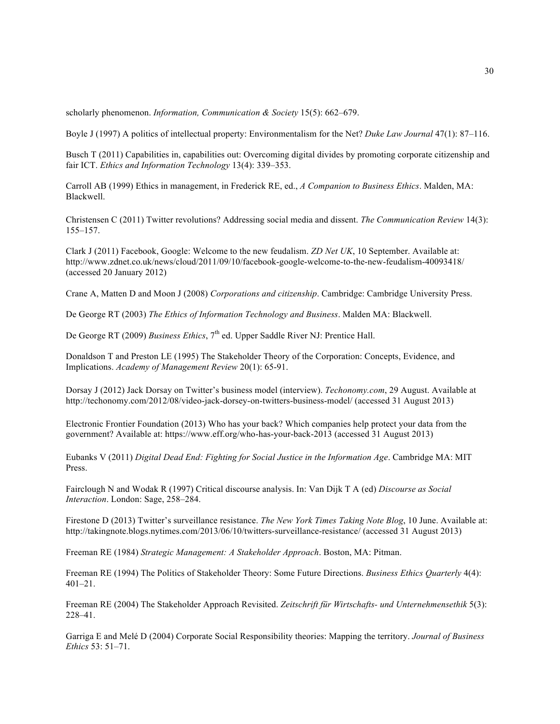scholarly phenomenon. *Information, Communication & Society* 15(5): 662–679.

Boyle J (1997) A politics of intellectual property: Environmentalism for the Net? *Duke Law Journal* 47(1): 87–116.

Busch T (2011) Capabilities in, capabilities out: Overcoming digital divides by promoting corporate citizenship and fair ICT. *Ethics and Information Technology* 13(4): 339–353.

Carroll AB (1999) Ethics in management, in Frederick RE, ed., *A Companion to Business Ethics*. Malden, MA: Blackwell.

Christensen C (2011) Twitter revolutions? Addressing social media and dissent. *The Communication Review* 14(3): 155–157.

Clark J (2011) Facebook, Google: Welcome to the new feudalism. *ZD Net UK*, 10 September. Available at: http://www.zdnet.co.uk/news/cloud/2011/09/10/facebook-google-welcome-to-the-new-feudalism-40093418/ (accessed 20 January 2012)

Crane A, Matten D and Moon J (2008) *Corporations and citizenship*. Cambridge: Cambridge University Press.

De George RT (2003) *The Ethics of Information Technology and Business*. Malden MA: Blackwell.

De George RT (2009) *Business Ethics*, 7<sup>th</sup> ed. Upper Saddle River NJ: Prentice Hall.

Donaldson T and Preston LE (1995) The Stakeholder Theory of the Corporation: Concepts, Evidence, and Implications. *Academy of Management Review* 20(1): 65-91.

Dorsay J (2012) Jack Dorsay on Twitter's business model (interview). *Techonomy.com*, 29 August. Available at http://techonomy.com/2012/08/video-jack-dorsey-on-twitters-business-model/ (accessed 31 August 2013)

Electronic Frontier Foundation (2013) Who has your back? Which companies help protect your data from the government? Available at: https://www.eff.org/who-has-your-back-2013 (accessed 31 August 2013)

Eubanks V (2011) *Digital Dead End: Fighting for Social Justice in the Information Age*. Cambridge MA: MIT Press.

Fairclough N and Wodak R (1997) Critical discourse analysis. In: Van Dijk T A (ed) *Discourse as Social Interaction*. London: Sage, 258–284.

Firestone D (2013) Twitter's surveillance resistance. *The New York Times Taking Note Blog*, 10 June. Available at: http://takingnote.blogs.nytimes.com/2013/06/10/twitters-surveillance-resistance/ (accessed 31 August 2013)

Freeman RE (1984) *Strategic Management: A Stakeholder Approach*. Boston, MA: Pitman.

Freeman RE (1994) The Politics of Stakeholder Theory: Some Future Directions. *Business Ethics Quarterly* 4(4): 401–21.

Freeman RE (2004) The Stakeholder Approach Revisited. *Zeitschrift für Wirtschafts- und Unternehmensethik* 5(3): 228–41.

Garriga E and Melé D (2004) Corporate Social Responsibility theories: Mapping the territory. *Journal of Business Ethics* 53: 51–71.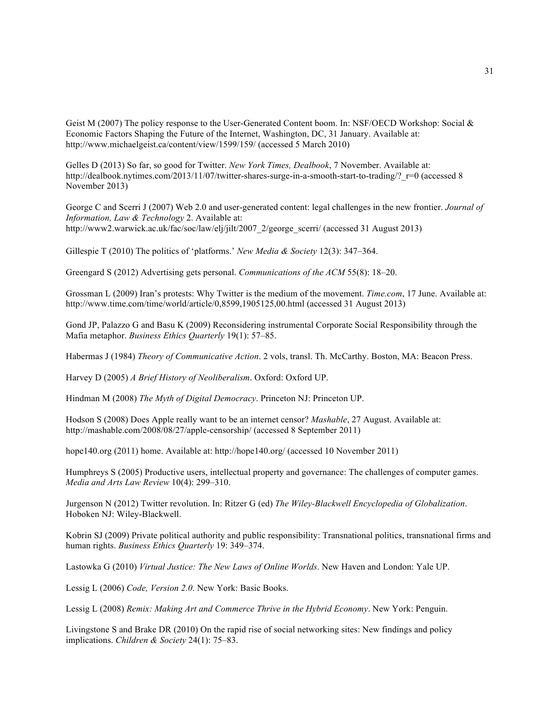Geist M (2007) The policy response to the User-Generated Content boom. In: NSF/OECD Workshop: Social & Economic Factors Shaping the Future of the Internet, Washington, DC, 31 January. Available at: http://www.michaelgeist.ca/content/view/1599/159/ (accessed 5 March 2010)

Gelles D (2013) So far, so good for Twitter. *New York Times, Dealbook*, 7 November. Available at: http://dealbook.nytimes.com/2013/11/07/twitter-shares-surge-in-a-smooth-start-to-trading/? r=0 (accessed 8 November 2013)

George C and Scerri J (2007) Web 2.0 and user-generated content: legal challenges in the new frontier. *Journal of Information, Law & Technology* 2. Available at: http://www2.warwick.ac.uk/fac/soc/law/elj/jilt/2007\_2/george\_scerri/ (accessed 31 August 2013)

Gillespie T (2010) The politics of 'platforms.' *New Media & Society* 12(3): 347–364.

Greengard S (2012) Advertising gets personal. *Communications of the ACM* 55(8): 18–20.

Grossman L (2009) Iran's protests: Why Twitter is the medium of the movement. *Time.com*, 17 June. Available at: http://www.time.com/time/world/article/0,8599,1905125,00.html (accessed 31 August 2013)

Gond JP, Palazzo G and Basu K (2009) Reconsidering instrumental Corporate Social Responsibility through the Mafia metaphor. *Business Ethics Quarterly* 19(1): 57–85.

Habermas J (1984) *Theory of Communicative Action*. 2 vols, transl. Th. McCarthy. Boston, MA: Beacon Press.

Harvey D (2005) *A Brief History of Neoliberalism*. Oxford: Oxford UP.

Hindman M (2008) *The Myth of Digital Democracy*. Princeton NJ: Princeton UP.

Hodson S (2008) Does Apple really want to be an internet censor? *Mashable*, 27 August. Available at: http://mashable.com/2008/08/27/apple-censorship/ (accessed 8 September 2011)

hope140.org (2011) home. Available at: http://hope140.org/ (accessed 10 November 2011)

Humphreys S (2005) Productive users, intellectual property and governance: The challenges of computer games. *Media and Arts Law Review* 10(4): 299–310.

Jurgenson N (2012) Twitter revolution. In: Ritzer G (ed) *The Wiley-Blackwell Encyclopedia of Globalization*. Hoboken NJ: Wiley-Blackwell.

Kobrin SJ (2009) Private political authority and public responsibility: Transnational politics, transnational firms and human rights. *Business Ethics Quarterly* 19: 349–374.

Lastowka G (2010) *Virtual Justice: The New Laws of Online Worlds*. New Haven and London: Yale UP.

Lessig L (2006) *Code, Version 2.0*. New York: Basic Books.

Lessig L (2008) *Remix: Making Art and Commerce Thrive in the Hybrid Economy*. New York: Penguin.

Livingstone S and Brake DR (2010) On the rapid rise of social networking sites: New findings and policy implications. *Children & Society* 24(1): 75–83.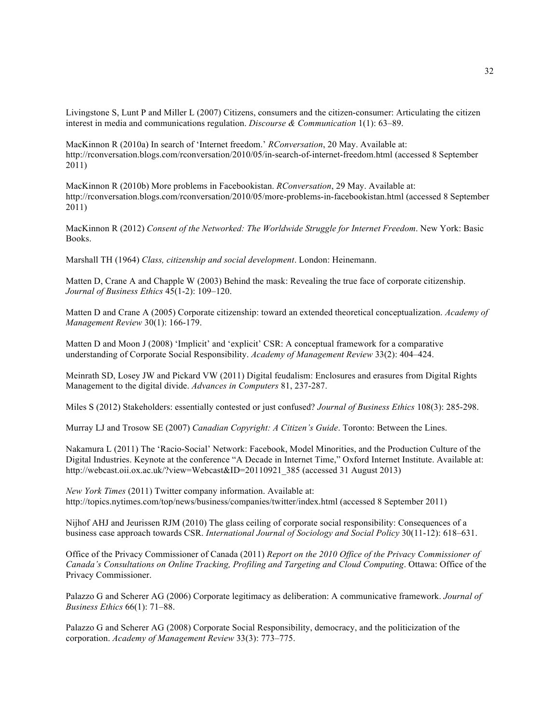Livingstone S, Lunt P and Miller L (2007) Citizens, consumers and the citizen-consumer: Articulating the citizen interest in media and communications regulation. *Discourse & Communication* 1(1): 63–89.

MacKinnon R (2010a) In search of 'Internet freedom.' *RConversation*, 20 May. Available at: http://rconversation.blogs.com/rconversation/2010/05/in-search-of-internet-freedom.html (accessed 8 September 2011)

MacKinnon R (2010b) More problems in Facebookistan. *RConversation*, 29 May. Available at: http://rconversation.blogs.com/rconversation/2010/05/more-problems-in-facebookistan.html (accessed 8 September 2011)

MacKinnon R (2012) *Consent of the Networked: The Worldwide Struggle for Internet Freedom*. New York: Basic Books.

Marshall TH (1964) *Class, citizenship and social development*. London: Heinemann.

Matten D, Crane A and Chapple W (2003) Behind the mask: Revealing the true face of corporate citizenship. *Journal of Business Ethics* 45(1-2): 109–120.

Matten D and Crane A (2005) Corporate citizenship: toward an extended theoretical conceptualization. *Academy of Management Review* 30(1): 166-179.

Matten D and Moon J (2008) 'Implicit' and 'explicit' CSR: A conceptual framework for a comparative understanding of Corporate Social Responsibility. *Academy of Management Review* 33(2): 404–424.

Meinrath SD, Losey JW and Pickard VW (2011) Digital feudalism: Enclosures and erasures from Digital Rights Management to the digital divide. *Advances in Computers* 81, 237-287.

Miles S (2012) Stakeholders: essentially contested or just confused? *Journal of Business Ethics* 108(3): 285-298.

Murray LJ and Trosow SE (2007) *Canadian Copyright: A Citizen's Guide*. Toronto: Between the Lines.

Nakamura L (2011) The 'Racio-Social' Network: Facebook, Model Minorities, and the Production Culture of the Digital Industries. Keynote at the conference "A Decade in Internet Time," Oxford Internet Institute. Available at: http://webcast.oii.ox.ac.uk/?view=Webcast&ID=20110921\_385 (accessed 31 August 2013)

*New York Times* (2011) Twitter company information. Available at: http://topics.nytimes.com/top/news/business/companies/twitter/index.html (accessed 8 September 2011)

Nijhof AHJ and Jeurissen RJM (2010) The glass ceiling of corporate social responsibility: Consequences of a business case approach towards CSR. *International Journal of Sociology and Social Policy* 30(11-12): 618–631.

Office of the Privacy Commissioner of Canada (2011) *Report on the 2010 Office of the Privacy Commissioner of Canada's Consultations on Online Tracking, Profiling and Targeting and Cloud Computing*. Ottawa: Office of the Privacy Commissioner.

Palazzo G and Scherer AG (2006) Corporate legitimacy as deliberation: A communicative framework. *Journal of Business Ethics* 66(1): 71–88.

Palazzo G and Scherer AG (2008) Corporate Social Responsibility, democracy, and the politicization of the corporation. *Academy of Management Review* 33(3): 773–775.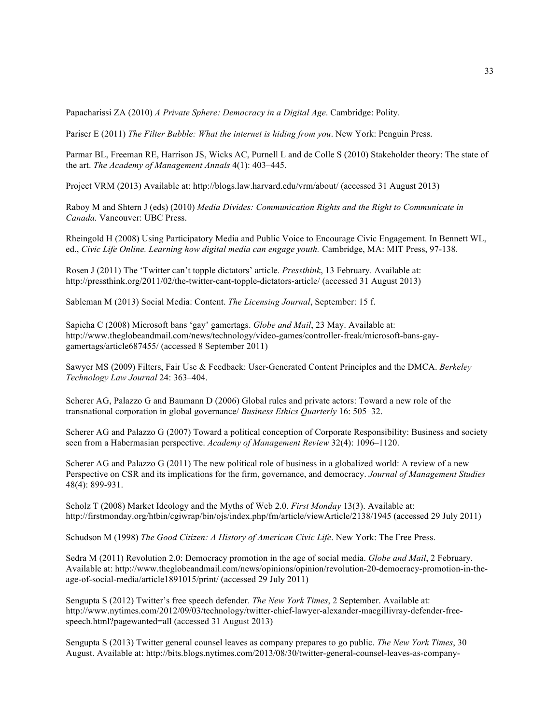Papacharissi ZA (2010) *A Private Sphere: Democracy in a Digital Age*. Cambridge: Polity.

Pariser E (2011) *The Filter Bubble: What the internet is hiding from you*. New York: Penguin Press.

Parmar BL, Freeman RE, Harrison JS, Wicks AC, Purnell L and de Colle S (2010) Stakeholder theory: The state of the art. *The Academy of Management Annals* 4(1): 403–445.

Project VRM (2013) Available at: http://blogs.law.harvard.edu/vrm/about/ (accessed 31 August 2013)

Raboy M and Shtern J (eds) (2010) *Media Divides: Communication Rights and the Right to Communicate in Canada.* Vancouver: UBC Press.

Rheingold H (2008) Using Participatory Media and Public Voice to Encourage Civic Engagement. In Bennett WL, ed., *Civic Life Online. Learning how digital media can engage youth.* Cambridge, MA: MIT Press, 97-138.

Rosen J (2011) The 'Twitter can't topple dictators' article. *Pressthink*, 13 February. Available at: http://pressthink.org/2011/02/the-twitter-cant-topple-dictators-article/ (accessed 31 August 2013)

Sableman M (2013) Social Media: Content. *The Licensing Journal*, September: 15 f.

Sapieha C (2008) Microsoft bans 'gay' gamertags. *Globe and Mail*, 23 May. Available at: http://www.theglobeandmail.com/news/technology/video-games/controller-freak/microsoft-bans-gaygamertags/article687455/ (accessed 8 September 2011)

Sawyer MS (2009) Filters, Fair Use & Feedback: User-Generated Content Principles and the DMCA. *Berkeley Technology Law Journal* 24: 363–404.

Scherer AG, Palazzo G and Baumann D (2006) Global rules and private actors: Toward a new role of the transnational corporation in global governance/ *Business Ethics Quarterly* 16: 505–32.

Scherer AG and Palazzo G (2007) Toward a political conception of Corporate Responsibility: Business and society seen from a Habermasian perspective. *Academy of Management Review* 32(4): 1096–1120.

Scherer AG and Palazzo G (2011) The new political role of business in a globalized world: A review of a new Perspective on CSR and its implications for the firm, governance, and democracy. *Journal of Management Studies* 48(4): 899-931.

Scholz T (2008) Market Ideology and the Myths of Web 2.0. *First Monday* 13(3). Available at: http://firstmonday.org/htbin/cgiwrap/bin/ojs/index.php/fm/article/viewArticle/2138/1945 (accessed 29 July 2011)

Schudson M (1998) *The Good Citizen: A History of American Civic Life*. New York: The Free Press.

Sedra M (2011) Revolution 2.0: Democracy promotion in the age of social media. *Globe and Mail*, 2 February. Available at: http://www.theglobeandmail.com/news/opinions/opinion/revolution-20-democracy-promotion-in-theage-of-social-media/article1891015/print/ (accessed 29 July 2011)

Sengupta S (2012) Twitter's free speech defender. *The New York Times*, 2 September. Available at: http://www.nytimes.com/2012/09/03/technology/twitter-chief-lawyer-alexander-macgillivray-defender-freespeech.html?pagewanted=all (accessed 31 August 2013)

Sengupta S (2013) Twitter general counsel leaves as company prepares to go public. *The New York Times*, 30 August. Available at: http://bits.blogs.nytimes.com/2013/08/30/twitter-general-counsel-leaves-as-company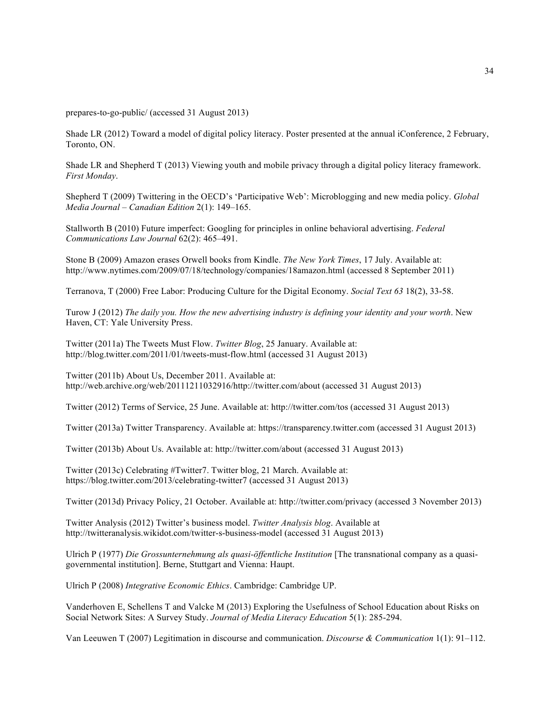prepares-to-go-public/ (accessed 31 August 2013)

Shade LR (2012) Toward a model of digital policy literacy. Poster presented at the annual iConference, 2 February, Toronto, ON.

Shade LR and Shepherd T (2013) Viewing youth and mobile privacy through a digital policy literacy framework. *First Monday*.

Shepherd T (2009) Twittering in the OECD's 'Participative Web': Microblogging and new media policy. *Global Media Journal – Canadian Edition* 2(1): 149–165.

Stallworth B (2010) Future imperfect: Googling for principles in online behavioral advertising. *Federal Communications Law Journal* 62(2): 465–491.

Stone B (2009) Amazon erases Orwell books from Kindle. *The New York Times*, 17 July. Available at: http://www.nytimes.com/2009/07/18/technology/companies/18amazon.html (accessed 8 September 2011)

Terranova, T (2000) Free Labor: Producing Culture for the Digital Economy. *Social Text 63* 18(2), 33-58.

Turow J (2012) *The daily you. How the new advertising industry is defining your identity and your worth*. New Haven, CT: Yale University Press.

Twitter (2011a) The Tweets Must Flow. *Twitter Blog*, 25 January. Available at: http://blog.twitter.com/2011/01/tweets-must-flow.html (accessed 31 August 2013)

Twitter (2011b) About Us, December 2011. Available at: http://web.archive.org/web/20111211032916/http://twitter.com/about (accessed 31 August 2013)

Twitter (2012) Terms of Service, 25 June. Available at: http://twitter.com/tos (accessed 31 August 2013)

Twitter (2013a) Twitter Transparency. Available at: https://transparency.twitter.com (accessed 31 August 2013)

Twitter (2013b) About Us. Available at: http://twitter.com/about (accessed 31 August 2013)

Twitter (2013c) Celebrating #Twitter7. Twitter blog, 21 March. Available at: https://blog.twitter.com/2013/celebrating-twitter7 (accessed 31 August 2013)

Twitter (2013d) Privacy Policy, 21 October. Available at: http://twitter.com/privacy (accessed 3 November 2013)

Twitter Analysis (2012) Twitter's business model. *Twitter Analysis blog*. Available at http://twitteranalysis.wikidot.com/twitter-s-business-model (accessed 31 August 2013)

Ulrich P (1977) *Die Grossunternehmung als quasi-öffentliche Institution* [The transnational company as a quasigovernmental institution]. Berne, Stuttgart and Vienna: Haupt.

Ulrich P (2008) *Integrative Economic Ethics*. Cambridge: Cambridge UP.

Vanderhoven E, Schellens T and Valcke M (2013) Exploring the Usefulness of School Education about Risks on Social Network Sites: A Survey Study. *Journal of Media Literacy Education* 5(1): 285-294.

Van Leeuwen T (2007) Legitimation in discourse and communication. *Discourse & Communication* 1(1): 91–112.